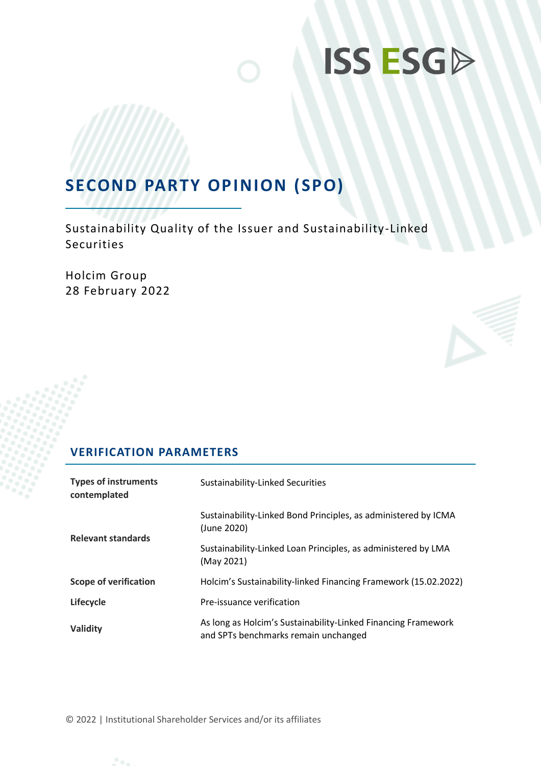# **ISS ESGD**

# **SECOND PARTY OPINION (SPO)**

Sustainability Quality of the Issuer and Sustainability-Linked Securities

Holcim Group 28 February 2022

# **VERIFICATION PARAMETERS**

| <b>Types of instruments</b><br>contemplated | Sustainability-Linked Securities                                                                      |  |  |
|---------------------------------------------|-------------------------------------------------------------------------------------------------------|--|--|
| <b>Relevant standards</b>                   | Sustainability-Linked Bond Principles, as administered by ICMA<br>(June 2020)                         |  |  |
|                                             | Sustainability-Linked Loan Principles, as administered by LMA<br>(May 2021)                           |  |  |
| <b>Scope of verification</b>                | Holcim's Sustainability-linked Financing Framework (15.02.2022)                                       |  |  |
| Lifecycle                                   | Pre-issuance verification                                                                             |  |  |
| Validity                                    | As long as Holcim's Sustainability-Linked Financing Framework<br>and SPTs benchmarks remain unchanged |  |  |

© 2022 | Institutional Shareholder Services and/or its affiliates

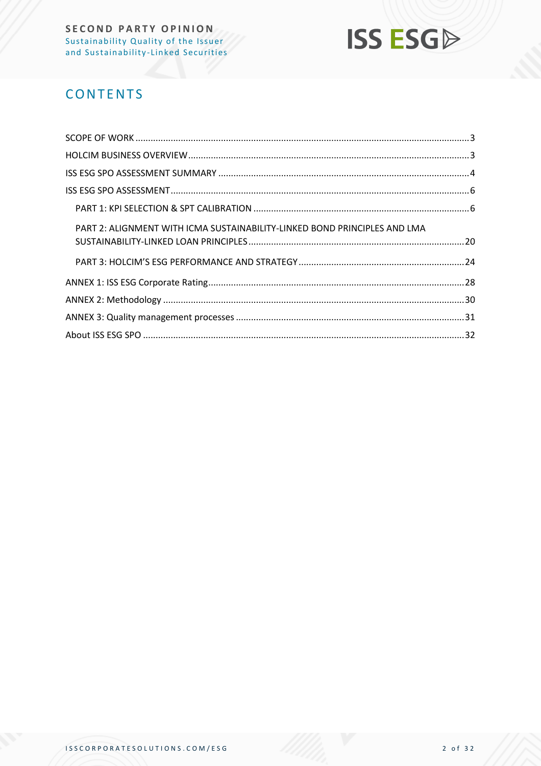

# **CONTENTS**

| PART 2: ALIGNMENT WITH ICMA SUSTAINABILITY-LINKED BOND PRINCIPLES AND LMA |  |
|---------------------------------------------------------------------------|--|
|                                                                           |  |
|                                                                           |  |
|                                                                           |  |
|                                                                           |  |
|                                                                           |  |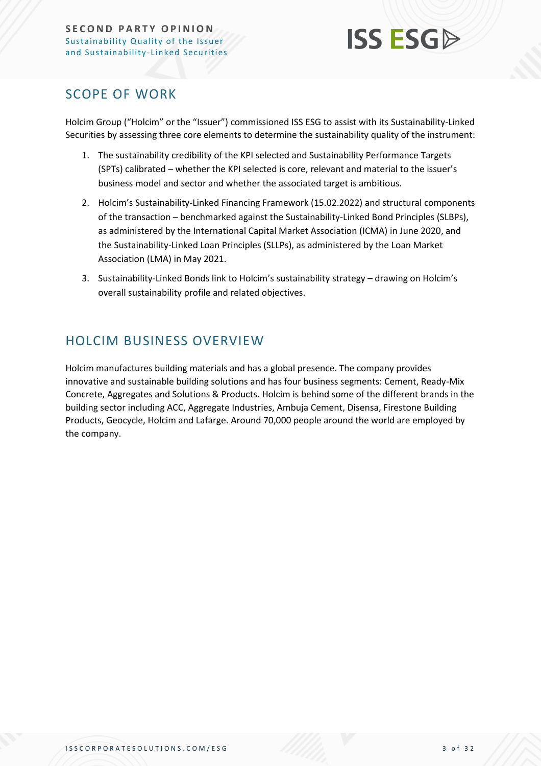

# <span id="page-2-0"></span>SCOPE OF WORK

Holcim Group ("Holcim" or the "Issuer") commissioned ISS ESG to assist with its Sustainability-Linked Securities by assessing three core elements to determine the sustainability quality of the instrument:

- 1. The sustainability credibility of the KPI selected and Sustainability Performance Targets (SPTs) calibrated – whether the KPI selected is core, relevant and material to the issuer's business model and sector and whether the associated target is ambitious.
- 2. Holcim's Sustainability-Linked Financing Framework (15.02.2022) and structural components of the transaction – benchmarked against the Sustainability-Linked Bond Principles (SLBPs), as administered by the International Capital Market Association (ICMA) in June 2020, and the Sustainability-Linked Loan Principles (SLLPs), as administered by the Loan Market Association (LMA) in May 2021.
- 3. Sustainability-Linked Bonds link to Holcim's sustainability strategy drawing on Holcim's overall sustainability profile and related objectives.

# <span id="page-2-1"></span>HOLCIM BUSINESS OVERVIEW

Holcim manufactures building materials and has a global presence. The company provides innovative and sustainable building solutions and has four business segments: Cement, Ready-Mix Concrete, Aggregates and Solutions & Products. Holcim is behind some of the different brands in the building sector including ACC, Aggregate Industries, Ambuja Cement, Disensa, Firestone Building Products, Geocycle, Holcim and Lafarge. Around 70,000 people around the world are employed by the company.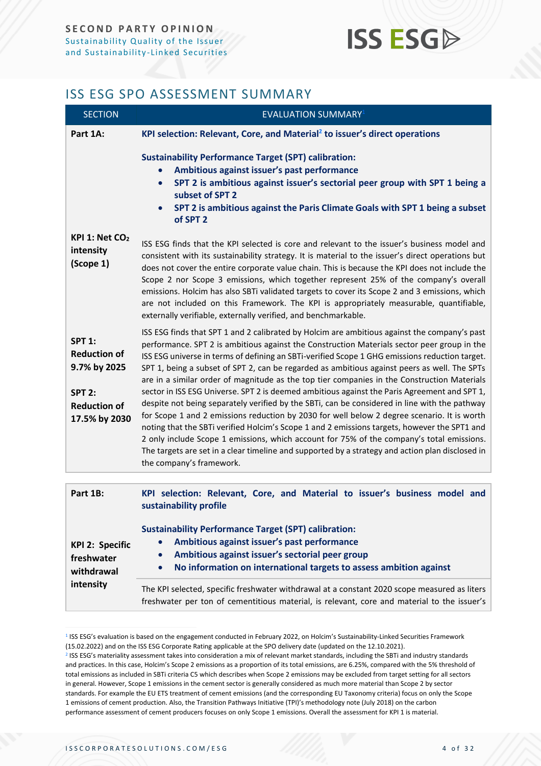# **ISS ESG**

# <span id="page-3-0"></span>ISS ESG SPO ASSESSMENT SUMMARY

| <b>SECTION</b>                                                                                                | <b>EVALUATION SUMMARY1</b>                                                                                                                                                                                                                                                                                                                                                                                                                                                                                                                                                                                                                                                                                                                                                                                                                                                                                                                                                                                                                                                                                                |
|---------------------------------------------------------------------------------------------------------------|---------------------------------------------------------------------------------------------------------------------------------------------------------------------------------------------------------------------------------------------------------------------------------------------------------------------------------------------------------------------------------------------------------------------------------------------------------------------------------------------------------------------------------------------------------------------------------------------------------------------------------------------------------------------------------------------------------------------------------------------------------------------------------------------------------------------------------------------------------------------------------------------------------------------------------------------------------------------------------------------------------------------------------------------------------------------------------------------------------------------------|
| Part 1A:                                                                                                      | KPI selection: Relevant, Core, and Material <sup>2</sup> to issuer's direct operations                                                                                                                                                                                                                                                                                                                                                                                                                                                                                                                                                                                                                                                                                                                                                                                                                                                                                                                                                                                                                                    |
|                                                                                                               | <b>Sustainability Performance Target (SPT) calibration:</b><br>Ambitious against issuer's past performance<br>SPT 2 is ambitious against issuer's sectorial peer group with SPT 1 being a<br>$\bullet$<br>subset of SPT 2<br>SPT 2 is ambitious against the Paris Climate Goals with SPT 1 being a subset<br>$\bullet$<br>of SPT <sub>2</sub>                                                                                                                                                                                                                                                                                                                                                                                                                                                                                                                                                                                                                                                                                                                                                                             |
| KPI 1: Net $CO2$<br>intensity<br>(Scope 1)                                                                    | ISS ESG finds that the KPI selected is core and relevant to the issuer's business model and<br>consistent with its sustainability strategy. It is material to the issuer's direct operations but<br>does not cover the entire corporate value chain. This is because the KPI does not include the<br>Scope 2 nor Scope 3 emissions, which together represent 25% of the company's overall<br>emissions. Holcim has also SBTi validated targets to cover its Scope 2 and 3 emissions, which<br>are not included on this Framework. The KPI is appropriately measurable, quantifiable,<br>externally verifiable, externally verified, and benchmarkable.                                                                                                                                                                                                                                                                                                                                                                                                                                                                    |
| <b>SPT 1:</b><br><b>Reduction of</b><br>9.7% by 2025<br><b>SPT 2:</b><br><b>Reduction of</b><br>17.5% by 2030 | ISS ESG finds that SPT 1 and 2 calibrated by Holcim are ambitious against the company's past<br>performance. SPT 2 is ambitious against the Construction Materials sector peer group in the<br>ISS ESG universe in terms of defining an SBTi-verified Scope 1 GHG emissions reduction target.<br>SPT 1, being a subset of SPT 2, can be regarded as ambitious against peers as well. The SPTs<br>are in a similar order of magnitude as the top tier companies in the Construction Materials<br>sector in ISS ESG Universe. SPT 2 is deemed ambitious against the Paris Agreement and SPT 1,<br>despite not being separately verified by the SBTi, can be considered in line with the pathway<br>for Scope 1 and 2 emissions reduction by 2030 for well below 2 degree scenario. It is worth<br>noting that the SBTi verified Holcim's Scope 1 and 2 emissions targets, however the SPT1 and<br>2 only include Scope 1 emissions, which account for 75% of the company's total emissions.<br>The targets are set in a clear timeline and supported by a strategy and action plan disclosed in<br>the company's framework. |
| Part 1B:                                                                                                      | KPI selection: Relevant, Core, and Material to issuer's business model and                                                                                                                                                                                                                                                                                                                                                                                                                                                                                                                                                                                                                                                                                                                                                                                                                                                                                                                                                                                                                                                |
| <b>KPI 2: Specific</b><br>freshwater<br>withdrawal                                                            | sustainability profile<br><b>Sustainability Performance Target (SPT) calibration:</b><br>Ambitious against issuer's past performance<br>$\bullet$<br>Ambitious against issuer's sectorial peer group<br>$\bullet$<br>No information on international targets to assess ambition against<br>$\bullet$                                                                                                                                                                                                                                                                                                                                                                                                                                                                                                                                                                                                                                                                                                                                                                                                                      |

The KPI selected, specific freshwater withdrawal at a constant 2020 scope measured as liters freshwater per ton of cementitious material, is relevant, core and material to the issuer's

1 ISS ESG's evaluation is based on the engagement conducted in February 2022, on Holcim's Sustainability-Linked Securities Framework (15.02.2022) and on the ISS ESG Corporate Rating applicable at the SPO delivery date (updated on the 12.10.2021).

**intensity**

<sup>2</sup> ISS ESG's materiality assessment takes into consideration a mix of relevant market standards, including the SBTi and industry standards and practices. In this case, Holcim's Scope 2 emissions as a proportion of its total emissions, are 6.25%, compared with the 5% threshold of total emissions as included in SBTi criteria C5 which describes when Scope 2 emissions may be excluded from target setting for all sectors in general. However, Scope 1 emissions in the cement sector is generally considered as much more material than Scope 2 by sector standards. For example the EU ETS treatment of cement emissions (and the corresponding EU Taxonomy criteria) focus on only the Scope 1 emissions of cement production. Also, the Transition Pathways Initiative (TPI)'s methodology note (July 2018) on the carbon performance assessment of cement producers focuses on only Scope 1 emissions. Overall the assessment for KPI 1 is material.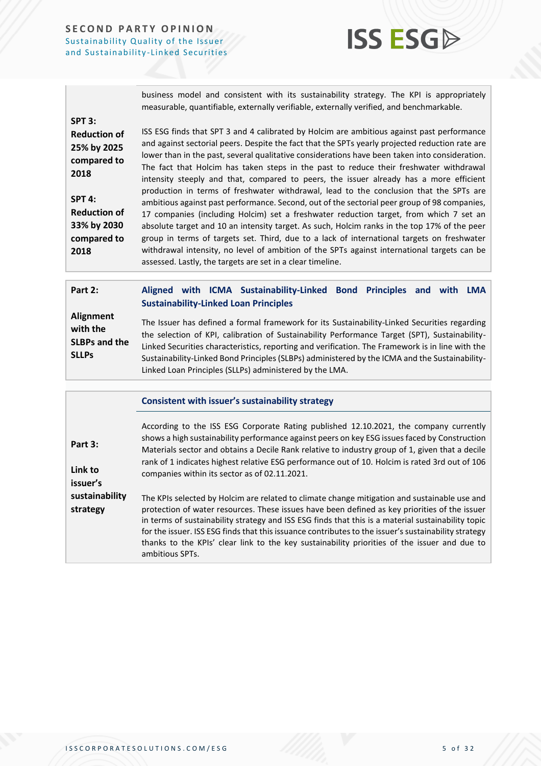

business model and consistent with its sustainability strategy. The KPI is appropriately measurable, quantifiable, externally verifiable, externally verified, and benchmarkable.

**SPT 3:**

**Reduction of 25% by 2025 compared to 2018**

**SPT 4: Reduction of 33% by 2030 compared to 2018**

ISS ESG finds that SPT 3 and 4 calibrated by Holcim are ambitious against past performance and against sectorial peers. Despite the fact that the SPTs yearly projected reduction rate are lower than in the past, several qualitative considerations have been taken into consideration. The fact that Holcim has taken steps in the past to reduce their freshwater withdrawal intensity steeply and that, compared to peers, the issuer already has a more efficient production in terms of freshwater withdrawal, lead to the conclusion that the SPTs are ambitious against past performance. Second, out of the sectorial peer group of 98 companies, 17 companies (including Holcim) set a freshwater reduction target, from which 7 set an absolute target and 10 an intensity target. As such, Holcim ranks in the top 17% of the peer group in terms of targets set. Third, due to a lack of international targets on freshwater withdrawal intensity, no level of ambition of the SPTs against international targets can be assessed. Lastly, the targets are set in a clear timeline.

| Part 2:                                                       | Aligned with ICMA Sustainability-Linked Bond Principles and with LMA<br><b>Sustainability-Linked Loan Principles</b>                                                                                                                                                                                                                                                                                                                                           |
|---------------------------------------------------------------|----------------------------------------------------------------------------------------------------------------------------------------------------------------------------------------------------------------------------------------------------------------------------------------------------------------------------------------------------------------------------------------------------------------------------------------------------------------|
| Alignment<br>with the<br><b>SLBPs and the</b><br><b>SLLPs</b> | The Issuer has defined a formal framework for its Sustainability-Linked Securities regarding<br>the selection of KPI, calibration of Sustainability Performance Target (SPT), Sustainability-<br>Linked Securities characteristics, reporting and verification. The Framework is in line with the<br>Sustainability-Linked Bond Principles (SLBPs) administered by the ICMA and the Sustainability-<br>Linked Loan Principles (SLLPs) administered by the LMA. |

| <b>Consistent with issuer's sustainability strategy</b> |  |  |
|---------------------------------------------------------|--|--|
|---------------------------------------------------------|--|--|

| Part 3:<br>Link to<br>issuer's | According to the ISS ESG Corporate Rating published 12.10.2021, the company currently<br>shows a high sustainability performance against peers on key ESG issues faced by Construction<br>Materials sector and obtains a Decile Rank relative to industry group of 1, given that a decile<br>rank of 1 indicates highest relative ESG performance out of 10. Holcim is rated 3rd out of 106<br>companies within its sector as of 02.11.2021. |
|--------------------------------|----------------------------------------------------------------------------------------------------------------------------------------------------------------------------------------------------------------------------------------------------------------------------------------------------------------------------------------------------------------------------------------------------------------------------------------------|
| sustainability<br>strategy     | The KPIs selected by Holcim are related to climate change mitigation and sustainable use and<br>protection of water resources. These issues have been defined as key priorities of the issuer<br>in terms of sustainability strategy and ISS ESG finds that this is a material sustainability topic                                                                                                                                          |

for the issuer. ISS ESG finds that this issuance contributes to the issuer's sustainability strategy thanks to the KPIs' clear link to the key sustainability priorities of the issuer and due to ambitious SPTs.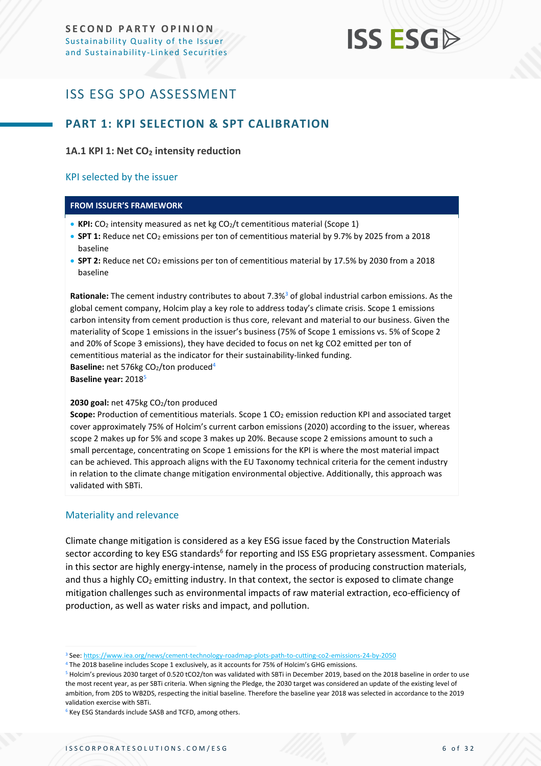# **ISS ESG**

# <span id="page-5-0"></span>ISS ESG SPO ASSESSMENT

# <span id="page-5-1"></span>**PART 1: KPI SELECTION & SPT CALIBRATION**

## **1A.1 KPI 1: Net CO<sup>2</sup> intensity reduction**

#### KPI selected by the issuer

#### **FROM ISSUER'S FRAMEWORK**

- KPI: CO<sub>2</sub> intensity measured as net kg CO<sub>2</sub>/t cementitious material (Scope 1)
- **SPT 1:** Reduce net CO<sub>2</sub> emissions per ton of cementitious material by 9.7% by 2025 from a 2018 baseline
- **SPT 2:** Reduce net CO<sub>2</sub> emissions per ton of cementitious material by 17.5% by 2030 from a 2018 baseline

Rationale: The cement industry contributes to about 7.3%<sup>3</sup> of global industrial carbon emissions. As the global cement company, Holcim play a key role to address today's climate crisis. Scope 1 emissions carbon intensity from cement production is thus core, relevant and material to our business. Given the materiality of Scope 1 emissions in the issuer's business (75% of Scope 1 emissions vs. 5% of Scope 2 and 20% of Scope 3 emissions), they have decided to focus on net kg CO2 emitted per ton of cementitious material as the indicator for their sustainability-linked funding. **Baseline:** net 576kg CO<sub>2</sub>/ton produced<sup>4</sup> **Baseline year:** 2018<sup>5</sup>

# 2030 goal: net 475kg CO<sub>2</sub>/ton produced

Scope: Production of cementitious materials. Scope 1 CO<sub>2</sub> emission reduction KPI and associated target cover approximately 75% of Holcim's current carbon emissions (2020) according to the issuer, whereas scope 2 makes up for 5% and scope 3 makes up 20%. Because scope 2 emissions amount to such a small percentage, concentrating on Scope 1 emissions for the KPI is where the most material impact can be achieved. This approach aligns with the EU Taxonomy technical criteria for the cement industry in relation to the climate change mitigation environmental objective. Additionally, this approach was validated with SBTi.

#### Materiality and relevance

Climate change mitigation is considered as a key ESG issue faced by the Construction Materials sector according to key ESG standards<sup>6</sup> for reporting and ISS ESG proprietary assessment. Companies in this sector are highly energy-intense, namely in the process of producing construction materials, and thus a highly  $CO<sub>2</sub>$  emitting industry. In that context, the sector is exposed to climate change mitigation challenges such as environmental impacts of raw material extraction, eco-efficiency of production, as well as water risks and impact, and pollution.

<sup>3</sup> See[: https://www.iea.org/news/cement-technology-roadmap-plots-path-to-cutting-co2-emissions-24-by-2050](https://www.iea.org/news/cement-technology-roadmap-plots-path-to-cutting-co2-emissions-24-by-2050)

<sup>4</sup> The 2018 baseline includes Scope 1 exclusively, as it accounts for 75% of Holcim's GHG emissions.

<sup>5</sup> Holcim's previous 2030 target of 0.520 tCO2/ton was validated with SBTi in December 2019, based on the 2018 baseline in order to use the most recent year, as per SBTi criteria. When signing the Pledge, the 2030 target was considered an update of the existing level of ambition, from 2DS to WB2DS, respecting the initial baseline. Therefore the baseline year 2018 was selected in accordance to the 2019 validation exercise with SBTi.

<sup>&</sup>lt;sup>6</sup> Key ESG Standards include SASB and TCFD, among others.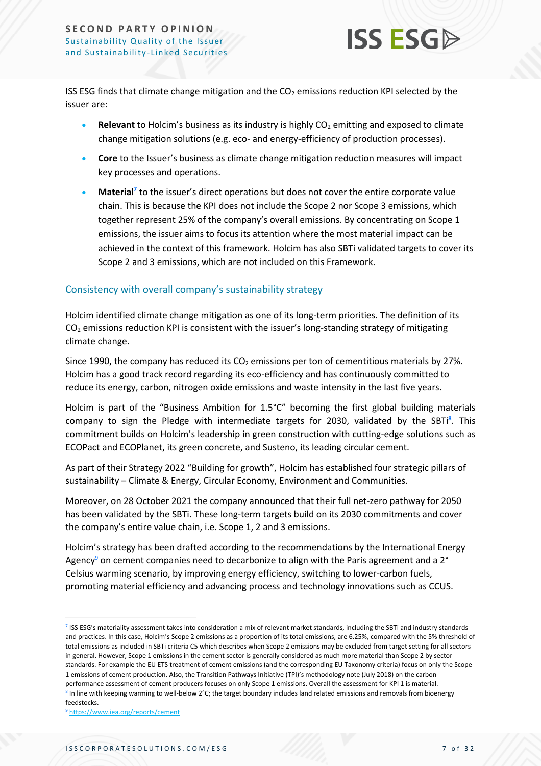

ISS ESG finds that climate change mitigation and the  $CO<sub>2</sub>$  emissions reduction KPI selected by the issuer are:

- **Relevant** to Holcim's business as its industry is highly CO<sub>2</sub> emitting and exposed to climate change mitigation solutions (e.g. eco- and energy-efficiency of production processes).
- **Core** to the Issuer's business as climate change mitigation reduction measures will impact key processes and operations.
- **Material<sup>7</sup>** to the issuer's direct operations but does not cover the entire corporate value chain. This is because the KPI does not include the Scope 2 nor Scope 3 emissions, which together represent 25% of the company's overall emissions. By concentrating on Scope 1 emissions, the issuer aims to focus its attention where the most material impact can be achieved in the context of this framework. Holcim has also SBTi validated targets to cover its Scope 2 and 3 emissions, which are not included on this Framework.

### Consistency with overall company's sustainability strategy

Holcim identified climate change mitigation as one of its long-term priorities. The definition of its  $CO<sub>2</sub>$  emissions reduction KPI is consistent with the issuer's long-standing strategy of mitigating climate change.

Since 1990, the company has reduced its  $CO<sub>2</sub>$  emissions per ton of cementitious materials by 27%. Holcim has a good track record regarding its eco-efficiency and has continuously committed to reduce its energy, carbon, nitrogen oxide emissions and waste intensity in the last five years.

Holcim is part of the "Business Ambition for 1.5°C" becoming the first global building materials company to sign the Pledge with intermediate targets for 2030, validated by the SBTi**<sup>8</sup>** . This commitment builds on Holcim's leadership in green construction with cutting-edge solutions such as ECOPact and ECOPlanet, its green concrete, and Susteno, its leading circular cement.

As part of their Strategy 2022 "Building for growth", Holcim has established four strategic pillars of sustainability – Climate & Energy, Circular Economy, Environment and Communities.

Moreover, on 28 October 2021 the company announced that their full net-zero pathway for 2050 has been validated by the SBTi. These long-term targets build on its 2030 commitments and cover the company's entire value chain, i.e. Scope 1, 2 and 3 emissions.

Holcim's strategy has been drafted according to the recommendations by the International Energy Agency<sup>9</sup> on cement companies need to decarbonize to align with the Paris agreement and a 2 $\degree$ Celsius warming scenario, by improving energy efficiency, switching to lower-carbon fuels, promoting material efficiency and advancing process and technology innovations such as CCUS.

<sup>7</sup> ISS ESG's materiality assessment takes into consideration a mix of relevant market standards, including the SBTi and industry standards and practices. In this case, Holcim's Scope 2 emissions as a proportion of its total emissions, are 6.25%, compared with the 5% threshold of total emissions as included in SBTi criteria C5 which describes when Scope 2 emissions may be excluded from target setting for all sectors in general. However, Scope 1 emissions in the cement sector is generally considered as much more material than Scope 2 by sector standards. For example the EU ETS treatment of cement emissions (and the corresponding EU Taxonomy criteria) focus on only the Scope 1 emissions of cement production. Also, the Transition Pathways Initiative (TPI)'s methodology note (July 2018) on the carbon performance assessment of cement producers focuses on only Scope 1 emissions. Overall the assessment for KPI 1 is material. <sup>8</sup> In line with keeping warming to well-below 2°C; the target boundary includes land related emissions and removals from bioenergy feedstocks.

<sup>9</sup> <https://www.iea.org/reports/cement>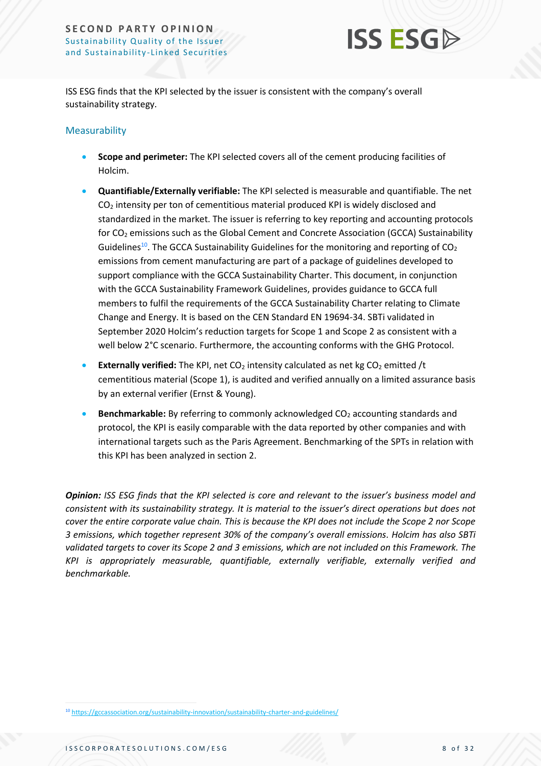

ISS ESG finds that the KPI selected by the issuer is consistent with the company's overall sustainability strategy.

# Measurability

- **Scope and perimeter:** The KPI selected covers all of the cement producing facilities of Holcim.
- **Quantifiable/Externally verifiable:** The KPI selected is measurable and quantifiable. The net CO<sup>2</sup> intensity per ton of cementitious material produced KPI is widely disclosed and standardized in the market. The issuer is referring to key reporting and accounting protocols for CO<sub>2</sub> emissions such as the Global Cement and Concrete Association (GCCA) Sustainability Guidelines<sup>10</sup>. The GCCA Sustainability Guidelines for the monitoring and reporting of  $CO_2$ emissions from cement manufacturing are part of a package of guidelines developed to support compliance with the GCCA Sustainability Charter. This document, in conjunction with the GCCA Sustainability Framework Guidelines, provides guidance to GCCA full members to fulfil the requirements of the GCCA Sustainability Charter relating to Climate Change and Energy. It is based on the CEN Standard EN 19694-34. SBTi validated in September 2020 Holcim's reduction targets for Scope 1 and Scope 2 as consistent with a well below 2°C scenario. Furthermore, the accounting conforms with the GHG Protocol.
- **Externally verified:** The KPI, net CO<sub>2</sub> intensity calculated as net kg CO<sub>2</sub> emitted /t cementitious material (Scope 1), is audited and verified annually on a limited assurance basis by an external verifier (Ernst & Young).
- **Benchmarkable:** By referring to commonly acknowledged CO<sub>2</sub> accounting standards and protocol, the KPI is easily comparable with the data reported by other companies and with international targets such as the Paris Agreement. Benchmarking of the SPTs in relation with this KPI has been analyzed in section 2.

*Opinion: ISS ESG finds that the KPI selected is core and relevant to the issuer's business model and consistent with its sustainability strategy. It is material to the issuer's direct operations but does not cover the entire corporate value chain. This is because the KPI does not include the Scope 2 nor Scope 3 emissions, which together represent 30% of the company's overall emissions. Holcim has also SBTi validated targets to cover its Scope 2 and 3 emissions, which are not included on this Framework. The KPI is appropriately measurable, quantifiable, externally verifiable, externally verified and benchmarkable.*

<sup>10</sup> <https://gccassociation.org/sustainability-innovation/sustainability-charter-and-guidelines/>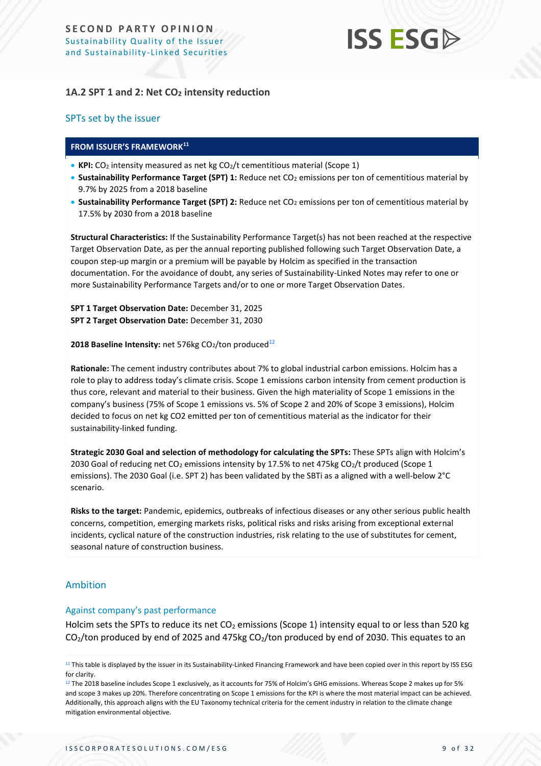# **ISS ESG**

# **1A.2 SPT 1 and 2: Net CO<sup>2</sup> intensity reduction**

#### SPTs set by the issuer

#### **FROM ISSUER'S FRAMEWORK<sup>11</sup>**

- KPI: CO<sub>2</sub> intensity measured as net kg CO<sub>2</sub>/t cementitious material (Scope 1)
- **Sustainability Performance Target (SPT) 1:** Reduce net CO<sub>2</sub> emissions per ton of cementitious material by 9.7% by 2025 from a 2018 baseline
- **Sustainability Performance Target (SPT) 2:** Reduce net CO<sub>2</sub> emissions per ton of cementitious material by 17.5% by 2030 from a 2018 baseline

**Structural Characteristics:** If the Sustainability Performance Target(s) has not been reached at the respective Target Observation Date, as per the annual reporting published following such Target Observation Date, a coupon step-up margin or a premium will be payable by Holcim as specified in the transaction documentation. For the avoidance of doubt, any series of Sustainability-Linked Notes may refer to one or more Sustainability Performance Targets and/or to one or more Target Observation Dates.

**SPT 1 Target Observation Date:** December 31, 2025 **SPT 2 Target Observation Date:** December 31, 2030

**2018 Baseline Intensity:** net 576kg CO<sub>2</sub>/ton produced<sup>12</sup>

**Rationale:** The cement industry contributes about 7% to global industrial carbon emissions. Holcim has a role to play to address today's climate crisis. Scope 1 emissions carbon intensity from cement production is thus core, relevant and material to their business. Given the high materiality of Scope 1 emissions in the company's business (75% of Scope 1 emissions vs. 5% of Scope 2 and 20% of Scope 3 emissions), Holcim decided to focus on net kg CO2 emitted per ton of cementitious material as the indicator for their sustainability-linked funding.

**Strategic 2030 Goal and selection of methodology for calculating the SPTs:** These SPTs align with Holcim's 2030 Goal of reducing net CO<sub>2</sub> emissions intensity by 17.5% to net 475kg CO<sub>2</sub>/t produced (Scope 1 emissions). The 2030 Goal (i.e. SPT 2) has been validated by the SBTi as a aligned with a well-below 2°C scenario.

**Risks to the target:** Pandemic, epidemics, outbreaks of infectious diseases or any other serious public health concerns, competition, emerging markets risks, political risks and risks arising from exceptional external incidents, cyclical nature of the construction industries, risk relating to the use of substitutes for cement, seasonal nature of construction business.

# Ambition

#### Against company's past performance

Holcim sets the SPTs to reduce its net  $CO<sub>2</sub>$  emissions (Scope 1) intensity equal to or less than 520 kg  $CO<sub>2</sub>/ton produced by end of 2025 and 475kg CO<sub>2</sub>/ton produced by end of 2030. This equates to an$ 

<sup>&</sup>lt;sup>11</sup> This table is displayed by the issuer in its Sustainability-Linked Financing Framework and have been copied over in this report by ISS ESG for clarity.

 $12$  The 2018 baseline includes Scope 1 exclusively, as it accounts for 75% of Holcim's GHG emissions. Whereas Scope 2 makes up for 5% and scope 3 makes up 20%. Therefore concentrating on Scope 1 emissions for the KPI is where the most material impact can be achieved. Additionally, this approach aligns with the EU Taxonomy technical criteria for the cement industry in relation to the climate change mitigation environmental objective.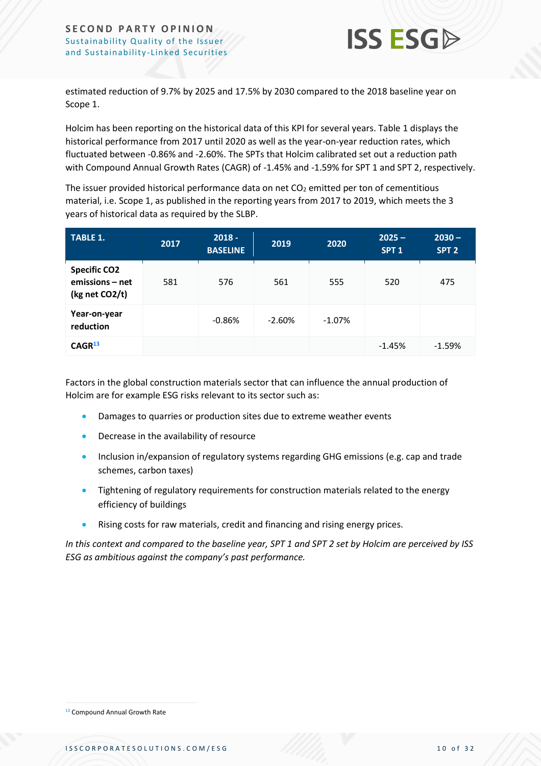

estimated reduction of 9.7% by 2025 and 17.5% by 2030 compared to the 2018 baseline year on Scope 1.

Holcim has been reporting on the historical data of this KPI for several years. Table 1 displays the historical performance from 2017 until 2020 as well as the year-on-year reduction rates, which fluctuated between -0.86% and -2.60%. The SPTs that Holcim calibrated set out a reduction path with Compound Annual Growth Rates (CAGR) of -1.45% and -1.59% for SPT 1 and SPT 2, respectively.

The issuer provided historical performance data on net  $CO<sub>2</sub>$  emitted per ton of cementitious material, i.e. Scope 1, as published in the reporting years from 2017 to 2019, which meets the 3 years of historical data as required by the SLBP.

| <b>TABLE 1.</b>                                          | 2017 | $2018 -$<br><b>BASELINE</b> | 2019     | 2020      | $2025 -$<br>SPT <sub>1</sub> | $2030 -$<br>SPT <sub>2</sub> |
|----------------------------------------------------------|------|-----------------------------|----------|-----------|------------------------------|------------------------------|
| <b>Specific CO2</b><br>emissions – net<br>(kg net CO2/t) | 581  | 576                         | 561      | 555       | 520                          | 475                          |
| Year-on-year<br>reduction                                |      | $-0.86%$                    | $-2.60%$ | $-1.07\%$ |                              |                              |
| CAGR <sup>13</sup>                                       |      |                             |          |           | $-1.45%$                     | $-1.59%$                     |

Factors in the global construction materials sector that can influence the annual production of Holcim are for example ESG risks relevant to its sector such as:

- Damages to quarries or production sites due to extreme weather events
- Decrease in the availability of resource
- Inclusion in/expansion of regulatory systems regarding GHG emissions (e.g. cap and trade schemes, carbon taxes)
- Tightening of regulatory requirements for construction materials related to the energy efficiency of buildings
- Rising costs for raw materials, credit and financing and rising energy prices.

*In this context and compared to the baseline year, SPT 1 and SPT 2 set by Holcim are perceived by ISS ESG as ambitious against the company's past performance.*

<sup>&</sup>lt;sup>13</sup> Compound Annual Growth Rate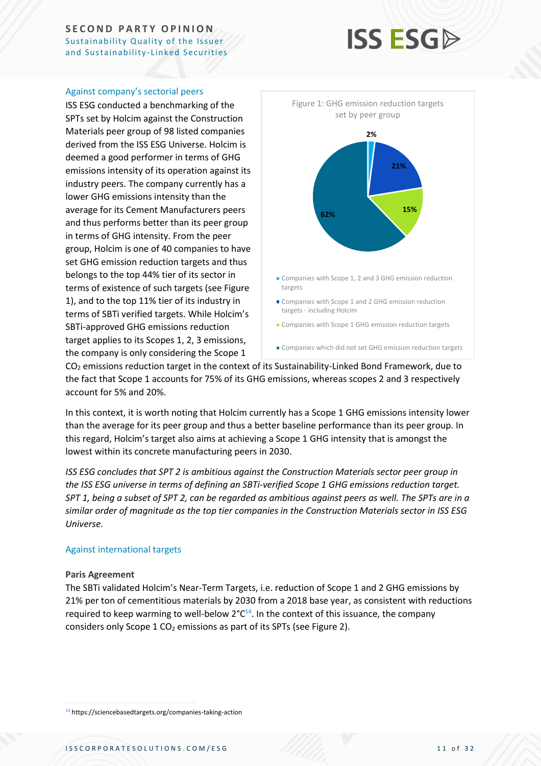# **ISS ESG**

#### Against company's sectorial peers

ISS ESG conducted a benchmarking of the SPTs set by Holcim against the Construction Materials peer group of 98 listed companies derived from the ISS ESG Universe. Holcim is deemed a good performer in terms of GHG emissions intensity of its operation against its industry peers. The company currently has a lower GHG emissions intensity than the average for its Cement Manufacturers peers and thus performs better than its peer group in terms of GHG intensity. From the peer group, Holcim is one of 40 companies to have set GHG emission reduction targets and thus belongs to the top 44% tier of its sector in terms of existence of such targets (see Figure 1), and to the top 11% tier of its industry in terms of SBTi verified targets. While Holcim's SBTi-approved GHG emissions reduction target applies to its Scopes 1, 2, 3 emissions, the company is only considering the Scope 1



 $CO<sub>2</sub>$  emissions reduction target in the context of its Sustainability-Linked Bond Framework, due to the fact that Scope 1 accounts for 75% of its GHG emissions, whereas scopes 2 and 3 respectively account for 5% and 20%.

In this context, it is worth noting that Holcim currently has a Scope 1 GHG emissions intensity lower than the average for its peer group and thus a better baseline performance than its peer group. In this regard, Holcim's target also aims at achieving a Scope 1 GHG intensity that is amongst the lowest within its concrete manufacturing peers in 2030.

*ISS ESG concludes that SPT 2 is ambitious against the Construction Materials sector peer group in the ISS ESG universe in terms of defining an SBTi-verified Scope 1 GHG emissions reduction target. SPT 1, being a subset of SPT 2, can be regarded as ambitious against peers as well. The SPTs are in a similar order of magnitude as the top tier companies in the Construction Materials sector in ISS ESG Universe.*

#### Against international targets

#### **Paris Agreement**

The SBTi validated Holcim's Near-Term Targets, i.e. reduction of Scope 1 and 2 GHG emissions by 21% per ton of cementitious materials by 2030 from a 2018 base year, as consistent with reductions required to keep warming to well-below 2°C<sup>14</sup>. In the context of this issuance, the company considers only Scope 1  $CO<sub>2</sub>$  emissions as part of its SPTs (see Figure 2).

<sup>14</sup> https://sciencebasedtargets.org/companies-taking-action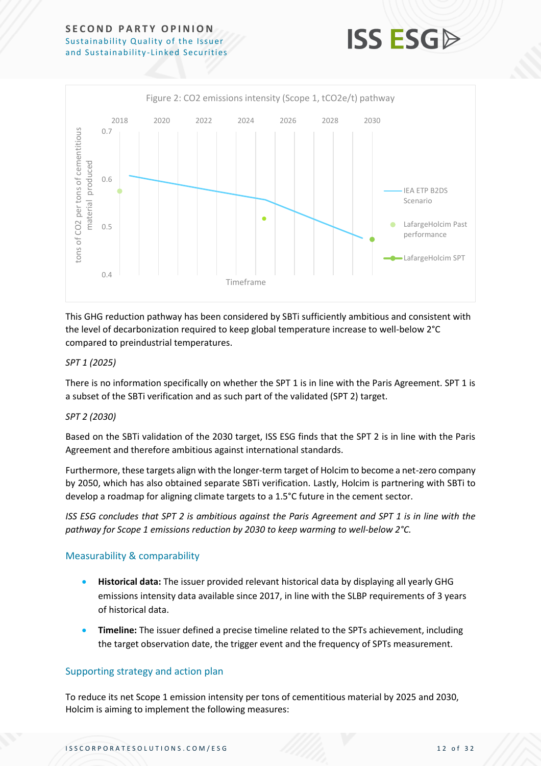

**ISS ESG** 

This GHG reduction pathway has been considered by SBTi sufficiently ambitious and consistent with the level of decarbonization required to keep global temperature increase to well-below 2°C compared to preindustrial temperatures.

#### *SPT 1 (2025)*

There is no information specifically on whether the SPT 1 is in line with the Paris Agreement. SPT 1 is a subset of the SBTi verification and as such part of the validated (SPT 2) target.

#### *SPT 2 (2030)*

Based on the SBTi validation of the 2030 target, ISS ESG finds that the SPT 2 is in line with the Paris Agreement and therefore ambitious against international standards.

Furthermore, these targets align with the longer-term target of Holcim to become a net-zero company by 2050, which has also obtained separate SBTi verification. Lastly, Holcim is partnering with SBTi to develop a roadmap for aligning climate targets to a 1.5°C future in the cement sector.

*ISS ESG concludes that SPT 2 is ambitious against the Paris Agreement and SPT 1 is in line with the pathway for Scope 1 emissions reduction by 2030 to keep warming to well-below 2°C.* 

#### Measurability & comparability

- **Historical data:** The issuer provided relevant historical data by displaying all yearly GHG emissions intensity data available since 2017, in line with the SLBP requirements of 3 years of historical data.
- **Timeline:** The issuer defined a precise timeline related to the SPTs achievement, including the target observation date, the trigger event and the frequency of SPTs measurement.

#### Supporting strategy and action plan

To reduce its net Scope 1 emission intensity per tons of cementitious material by 2025 and 2030, Holcim is aiming to implement the following measures: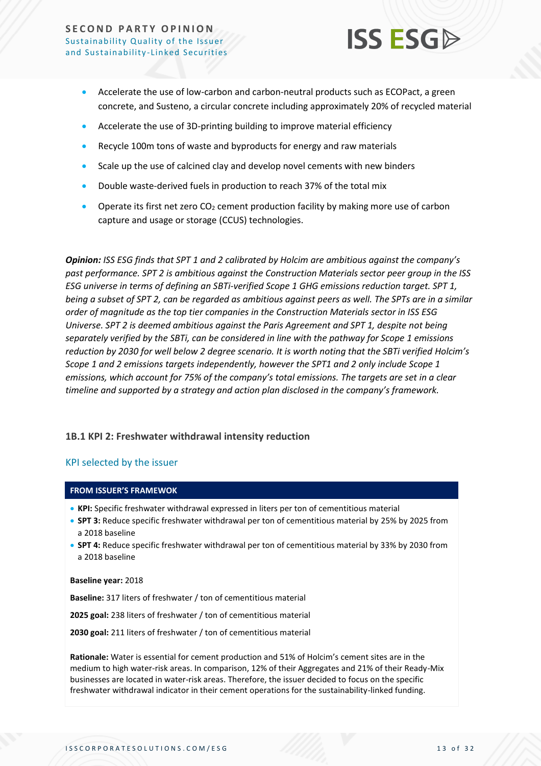

- Accelerate the use of low-carbon and carbon-neutral products such as ECOPact, a green concrete, and Susteno, a circular concrete including approximately 20% of recycled material
- Accelerate the use of 3D-printing building to improve material efficiency
- Recycle 100m tons of waste and byproducts for energy and raw materials
- Scale up the use of calcined clay and develop novel cements with new binders
- Double waste-derived fuels in production to reach 37% of the total mix
- Operate its first net zero  $CO<sub>2</sub>$  cement production facility by making more use of carbon capture and usage or storage (CCUS) technologies.

*Opinion: ISS ESG finds that SPT 1 and 2 calibrated by Holcim are ambitious against the company's past performance. SPT 2 is ambitious against the Construction Materials sector peer group in the ISS ESG universe in terms of defining an SBTi-verified Scope 1 GHG emissions reduction target. SPT 1, being a subset of SPT 2, can be regarded as ambitious against peers as well. The SPTs are in a similar order of magnitude as the top tier companies in the Construction Materials sector in ISS ESG Universe. SPT 2 is deemed ambitious against the Paris Agreement and SPT 1, despite not being separately verified by the SBTi, can be considered in line with the pathway for Scope 1 emissions reduction by 2030 for well below 2 degree scenario. It is worth noting that the SBTi verified Holcim's Scope 1 and 2 emissions targets independently, however the SPT1 and 2 only include Scope 1 emissions, which account for 75% of the company's total emissions. The targets are set in a clear timeline and supported by a strategy and action plan disclosed in the company's framework.*

#### **1B.1 KPI 2: Freshwater withdrawal intensity reduction**

#### KPI selected by the issuer

#### **FROM ISSUER'S FRAMEWOK**

- **KPI:** Specific freshwater withdrawal expressed in liters per ton of cementitious material
- **SPT 3:** Reduce specific freshwater withdrawal per ton of cementitious material by 25% by 2025 from a 2018 baseline
- **SPT 4:** Reduce specific freshwater withdrawal per ton of cementitious material by 33% by 2030 from a 2018 baseline

#### **Baseline year:** 2018

**Baseline:** 317 liters of freshwater / ton of cementitious material

**2025 goal:** 238 liters of freshwater / ton of cementitious material

**2030 goal:** 211 liters of freshwater / ton of cementitious material

**Rationale:** Water is essential for cement production and 51% of Holcim's cement sites are in the medium to high water-risk areas. In comparison, 12% of their Aggregates and 21% of their Ready-Mix businesses are located in water-risk areas. Therefore, the issuer decided to focus on the specific freshwater withdrawal indicator in their cement operations for the sustainability-linked funding.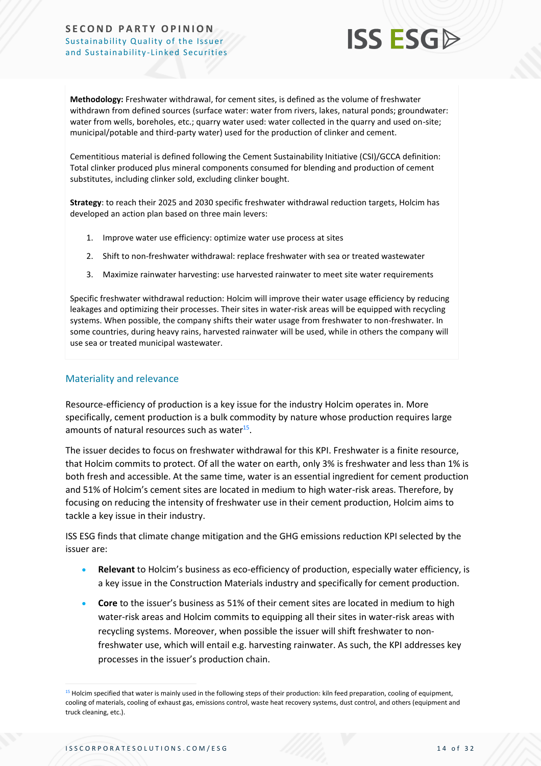

**Methodology:** Freshwater withdrawal, for cement sites, is defined as the volume of freshwater withdrawn from defined sources (surface water: water from rivers, lakes, natural ponds; groundwater: water from wells, boreholes, etc.; quarry water used: water collected in the quarry and used on-site; municipal/potable and third-party water) used for the production of clinker and cement.

Cementitious material is defined following the Cement Sustainability Initiative (CSI)/GCCA definition: Total clinker produced plus mineral components consumed for blending and production of cement substitutes, including clinker sold, excluding clinker bought.

**Strategy**: to reach their 2025 and 2030 specific freshwater withdrawal reduction targets, Holcim has developed an action plan based on three main levers:

- 1. Improve water use efficiency: optimize water use process at sites
- 2. Shift to non-freshwater withdrawal: replace freshwater with sea or treated wastewater
- 3. Maximize rainwater harvesting: use harvested rainwater to meet site water requirements

Specific freshwater withdrawal reduction: Holcim will improve their water usage efficiency by reducing leakages and optimizing their processes. Their sites in water-risk areas will be equipped with recycling systems. When possible, the company shifts their water usage from freshwater to non-freshwater. In some countries, during heavy rains, harvested rainwater will be used, while in others the company will use sea or treated municipal wastewater.

### Materiality and relevance

Resource-efficiency of production is a key issue for the industry Holcim operates in. More specifically, cement production is a bulk commodity by nature whose production requires large amounts of natural resources such as water<sup>15</sup>.

The issuer decides to focus on freshwater withdrawal for this KPI. Freshwater is a finite resource, that Holcim commits to protect. Of all the water on earth, only 3% is freshwater and less than 1% is both fresh and accessible. At the same time, water is an essential ingredient for cement production and 51% of Holcim's cement sites are located in medium to high water-risk areas. Therefore, by focusing on reducing the intensity of freshwater use in their cement production, Holcim aims to tackle a key issue in their industry.

ISS ESG finds that climate change mitigation and the GHG emissions reduction KPI selected by the issuer are:

- **Relevant** to Holcim's business as eco-efficiency of production, especially water efficiency, is a key issue in the Construction Materials industry and specifically for cement production.
- **Core** to the issuer's business as 51% of their cement sites are located in medium to high water-risk areas and Holcim commits to equipping all their sites in water-risk areas with recycling systems. Moreover, when possible the issuer will shift freshwater to nonfreshwater use, which will entail e.g. harvesting rainwater. As such, the KPI addresses key processes in the issuer's production chain.

<sup>&</sup>lt;sup>15</sup> Holcim specified that water is mainly used in the following steps of their production: kiln feed preparation, cooling of equipment, cooling of materials, cooling of exhaust gas, emissions control, waste heat recovery systems, dust control, and others (equipment and truck cleaning, etc.).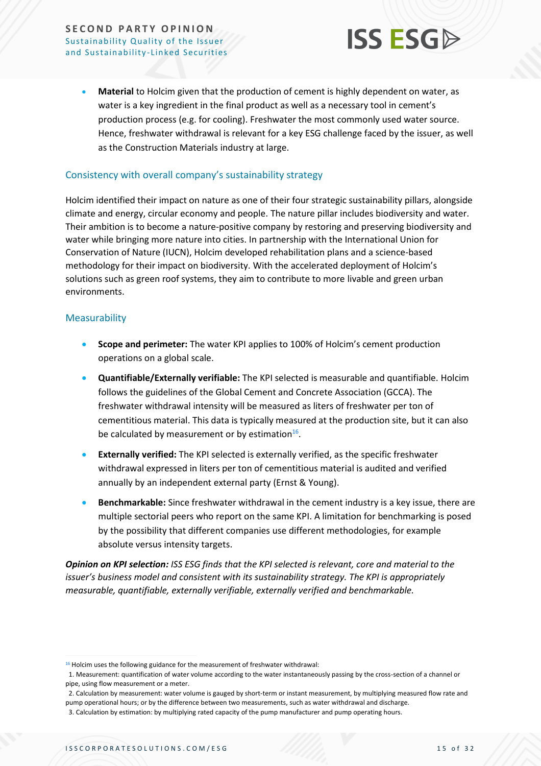

• **Material** to Holcim given that the production of cement is highly dependent on water, as water is a key ingredient in the final product as well as a necessary tool in cement's production process (e.g. for cooling). Freshwater the most commonly used water source. Hence, freshwater withdrawal is relevant for a key ESG challenge faced by the issuer, as well as the Construction Materials industry at large.

#### Consistency with overall company's sustainability strategy

Holcim identified their impact on nature as one of their four strategic sustainability pillars, alongside climate and energy, circular economy and people. The nature pillar includes biodiversity and water. Their ambition is to become a nature-positive company by restoring and preserving biodiversity and water while bringing more nature into cities. In partnership with the International Union for Conservation of Nature (IUCN), Holcim developed rehabilitation plans and a science-based methodology for their impact on biodiversity. With the accelerated deployment of Holcim's solutions such as green roof systems, they aim to contribute to more livable and green urban environments.

#### Measurability

- **Scope and perimeter:** The water KPI applies to 100% of Holcim's cement production operations on a global scale.
- **Quantifiable/Externally verifiable:** The KPI selected is measurable and quantifiable. Holcim follows the guidelines of the Global Cement and Concrete Association (GCCA). The freshwater withdrawal intensity will be measured as liters of freshwater per ton of cementitious material. This data is typically measured at the production site, but it can also be calculated by measurement or by estimation $^{16}$ .
- **Externally verified:** The KPI selected is externally verified, as the specific freshwater withdrawal expressed in liters per ton of cementitious material is audited and verified annually by an independent external party (Ernst & Young).
- **Benchmarkable:** Since freshwater withdrawal in the cement industry is a key issue, there are multiple sectorial peers who report on the same KPI. A limitation for benchmarking is posed by the possibility that different companies use different methodologies, for example absolute versus intensity targets.

*Opinion on KPI selection: ISS ESG finds that the KPI selected is relevant, core and material to the issuer's business model and consistent with its sustainability strategy. The KPI is appropriately measurable, quantifiable, externally verifiable, externally verified and benchmarkable.*

<sup>16</sup> Holcim uses the following guidance for the measurement of freshwater withdrawal:

 <sup>1.</sup> Measurement: quantification of water volume according to the water instantaneously passing by the cross-section of a channel or pipe, using flow measurement or a meter.

 <sup>2.</sup> Calculation by measurement: water volume is gauged by short-term or instant measurement, by multiplying measured flow rate and pump operational hours; or by the difference between two measurements, such as water withdrawal and discharge.

 <sup>3.</sup> Calculation by estimation: by multiplying rated capacity of the pump manufacturer and pump operating hours.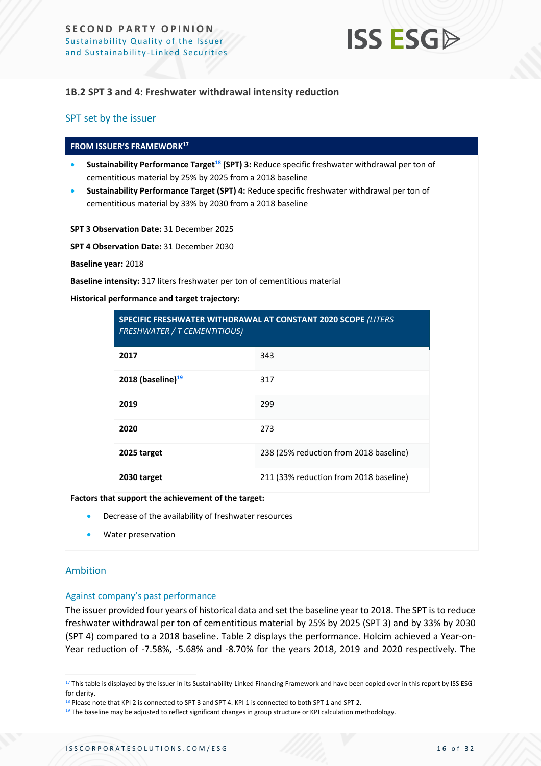

#### **1B.2 SPT 3 and 4: Freshwater withdrawal intensity reduction**

#### SPT set by the issuer

#### **FROM ISSUER'S FRAMEWORK 17**

- **Sustainability Performance Target<sup>18</sup> (SPT) 3:** Reduce specific freshwater withdrawal per ton of cementitious material by 25% by 2025 from a 2018 baseline
- **Sustainability Performance Target (SPT) 4:** Reduce specific freshwater withdrawal per ton of cementitious material by 33% by 2030 from a 2018 baseline

#### **SPT 3 Observation Date:** 31 December 2025

**SPT 4 Observation Date:** 31 December 2030

**Baseline year:** 2018

**Baseline intensity:** 317 liters freshwater per ton of cementitious material

#### **Historical performance and target trajectory:**

| SPECIFIC FRESHWATER WITHDRAWAL AT CONSTANT 2020 SCOPE (LITERS<br><b>FRESHWATER / T CEMENTITIOUS)</b> |                                        |  |  |
|------------------------------------------------------------------------------------------------------|----------------------------------------|--|--|
| 2017                                                                                                 | 343                                    |  |  |
| 2018 (baseline) $^{19}$                                                                              | 317                                    |  |  |
| 2019                                                                                                 | 299                                    |  |  |
| 2020                                                                                                 | 273                                    |  |  |
| 2025 target                                                                                          | 238 (25% reduction from 2018 baseline) |  |  |
| 2030 target                                                                                          | 211 (33% reduction from 2018 baseline) |  |  |

#### **Factors that support the achievement of the target:**

- Decrease of the availability of freshwater resources
- Water preservation

#### Ambition

#### Against company's past performance

The issuer provided four years of historical data and set the baseline year to 2018. The SPT is to reduce freshwater withdrawal per ton of cementitious material by 25% by 2025 (SPT 3) and by 33% by 2030 (SPT 4) compared to a 2018 baseline. Table 2 displays the performance. Holcim achieved a Year-on-Year reduction of -7.58%, -5.68% and -8.70% for the years 2018, 2019 and 2020 respectively. The

<sup>&</sup>lt;sup>17</sup> This table is displayed by the issuer in its Sustainability-Linked Financing Framework and have been copied over in this report by ISS ESG for clarity.

<sup>&</sup>lt;sup>18</sup> Please note that KPI 2 is connected to SPT 3 and SPT 4. KPI 1 is connected to both SPT 1 and SPT 2.

<sup>&</sup>lt;sup>19</sup> The baseline may be adjusted to reflect significant changes in group structure or KPI calculation methodology.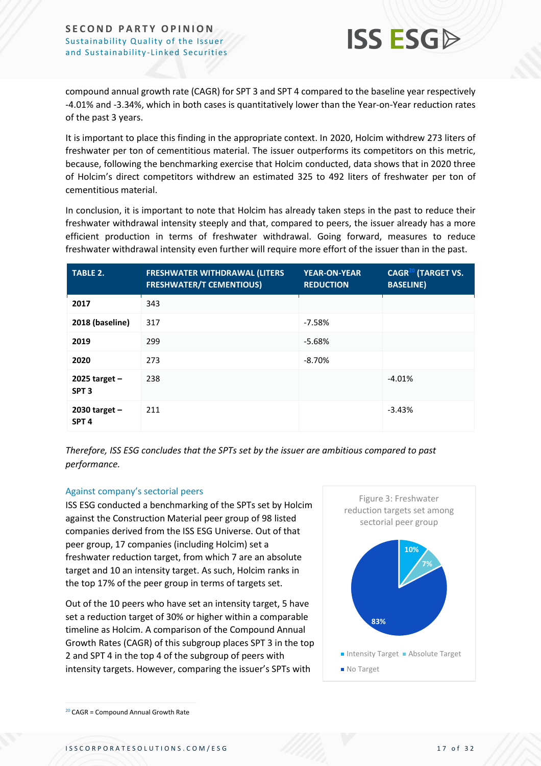

compound annual growth rate (CAGR) for SPT 3 and SPT 4 compared to the baseline year respectively -4.01% and -3.34%, which in both cases is quantitatively lower than the Year-on-Year reduction rates of the past 3 years.

It is important to place this finding in the appropriate context. In 2020, Holcim withdrew 273 liters of freshwater per ton of cementitious material. The issuer outperforms its competitors on this metric, because, following the benchmarking exercise that Holcim conducted, data shows that in 2020 three of Holcim's direct competitors withdrew an estimated 325 to 492 liters of freshwater per ton of cementitious material.

In conclusion, it is important to note that Holcim has already taken steps in the past to reduce their freshwater withdrawal intensity steeply and that, compared to peers, the issuer already has a more efficient production in terms of freshwater withdrawal. Going forward, measures to reduce freshwater withdrawal intensity even further will require more effort of the issuer than in the past.

| <b>TABLE 2.</b>                     | <b>FRESHWATER WITHDRAWAL (LITERS</b><br><b>FRESHWATER/T CEMENTIOUS)</b> | <b>YEAR-ON-YEAR</b><br><b>REDUCTION</b> | <b>CAGR<sup>20</sup></b> (TARGET VS.<br><b>BASELINE)</b> |
|-------------------------------------|-------------------------------------------------------------------------|-----------------------------------------|----------------------------------------------------------|
| 2017                                | 343                                                                     |                                         |                                                          |
| 2018 (baseline)                     | 317                                                                     | $-7.58%$                                |                                                          |
| 2019                                | 299                                                                     | $-5.68%$                                |                                                          |
| 2020                                | 273                                                                     | $-8.70%$                                |                                                          |
| 2025 target $-$<br>SPT <sub>3</sub> | 238                                                                     |                                         | $-4.01%$                                                 |
| 2030 target $-$<br>SPT <sub>4</sub> | 211                                                                     |                                         | $-3.43%$                                                 |

*Therefore, ISS ESG concludes that the SPTs set by the issuer are ambitious compared to past performance.*

#### Against company's sectorial peers

ISS ESG conducted a benchmarking of the SPTs set by Holcim against the Construction Material peer group of 98 listed companies derived from the ISS ESG Universe. Out of that peer group, 17 companies (including Holcim) set a freshwater reduction target, from which 7 are an absolute target and 10 an intensity target. As such, Holcim ranks in the top 17% of the peer group in terms of targets set.

Out of the 10 peers who have set an intensity target, 5 have set a reduction target of 30% or higher within a comparable timeline as Holcim. A comparison of the Compound Annual Growth Rates (CAGR) of this subgroup places SPT 3 in the top 2 and SPT 4 in the top 4 of the subgroup of peers with intensity targets. However, comparing the issuer's SPTs with



 $20$  CAGR = Compound Annual Growth Rate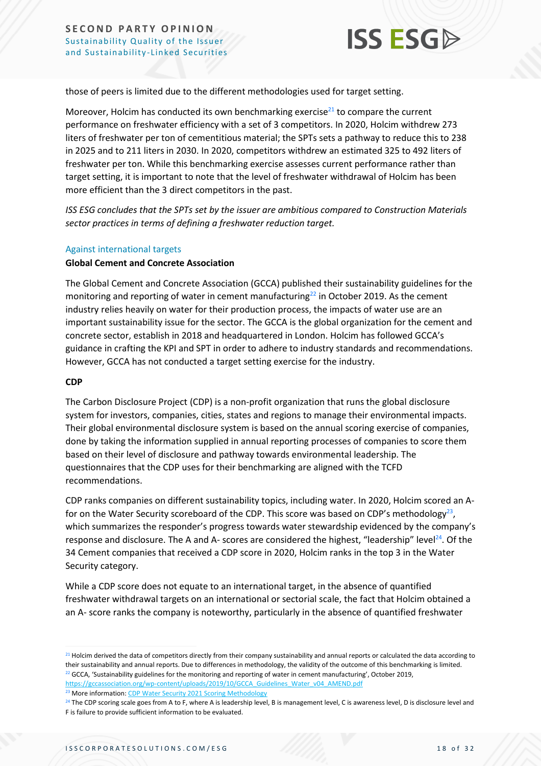

those of peers is limited due to the different methodologies used for target setting.

Moreover, Holcim has conducted its own benchmarking exercise $^{21}$  to compare the current performance on freshwater efficiency with a set of 3 competitors. In 2020, Holcim withdrew 273 liters of freshwater per ton of cementitious material; the SPTs sets a pathway to reduce this to 238 in 2025 and to 211 liters in 2030. In 2020, competitors withdrew an estimated 325 to 492 liters of freshwater per ton. While this benchmarking exercise assesses current performance rather than target setting, it is important to note that the level of freshwater withdrawal of Holcim has been more efficient than the 3 direct competitors in the past.

*ISS ESG concludes that the SPTs set by the issuer are ambitious compared to Construction Materials sector practices in terms of defining a freshwater reduction target.*

#### Against international targets

#### **Global Cement and Concrete Association**

The Global Cement and Concrete Association (GCCA) published their sustainability guidelines for the monitoring and reporting of water in cement manufacturing<sup>22</sup> in October 2019. As the cement industry relies heavily on water for their production process, the impacts of water use are an important sustainability issue for the sector. The GCCA is the global organization for the cement and concrete sector, establish in 2018 and headquartered in London. Holcim has followed GCCA's guidance in crafting the KPI and SPT in order to adhere to industry standards and recommendations. However, GCCA has not conducted a target setting exercise for the industry.

#### **CDP**

The Carbon Disclosure Project (CDP) is a non-profit organization that runs the global disclosure system for investors, companies, cities, states and regions to manage their environmental impacts. Their global environmental disclosure system is based on the annual scoring exercise of companies, done by taking the information supplied in annual reporting processes of companies to score them based on their level of disclosure and pathway towards environmental leadership. The questionnaires that the CDP uses for their benchmarking are aligned with the TCFD recommendations.

CDP ranks companies on different sustainability topics, including water. In 2020, Holcim scored an Afor on the Water Security scoreboard of the CDP. This score was based on CDP's methodology<sup>23</sup>, which summarizes the responder's progress towards water stewardship evidenced by the company's response and disclosure. The A and A- scores are considered the highest, "leadership" level<sup>24</sup>. Of the 34 Cement companies that received a CDP score in 2020, Holcim ranks in the top 3 in the Water Security category.

While a CDP score does not equate to an international target, in the absence of quantified freshwater withdrawal targets on an international or sectorial scale, the fact that Holcim obtained a an A- score ranks the company is noteworthy, particularly in the absence of quantified freshwater

<sup>&</sup>lt;sup>21</sup> Holcim derived the data of competitors directly from their company sustainability and annual reports or calculated the data according to their sustainability and annual reports. Due to differences in methodology, the validity of the outcome of this benchmarking is limited.  $22$  GCCA, 'Sustainability guidelines for the monitoring and reporting of water in cement manufacturing', October 2019, [https://gccassociation.org/wp-content/uploads/2019/10/GCCA\\_Guidelines\\_Water\\_v04\\_AMEND.pdf](https://gccassociation.org/wp-content/uploads/2019/10/GCCA_Guidelines_Water_v04_AMEND.pdf)

<sup>&</sup>lt;sup>23</sup> More information[: CDP Water Security 2021 Scoring Methodology](https://guidance.cdp.net/en/guidance?cid=20&ctype=theme&idtype=ThemeID&incchild=1µsite=0&otype=ScoringMethodology&tags=TAG-607%2CTAG-593)

<sup>&</sup>lt;sup>24</sup> The CDP scoring scale goes from A to F, where A is leadership level, B is management level, C is awareness level, D is disclosure level and F is failure to provide sufficient information to be evaluated.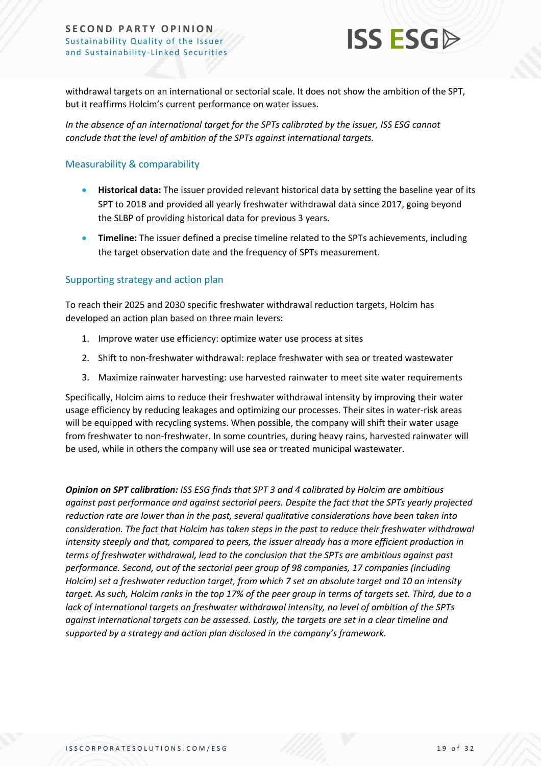

withdrawal targets on an international or sectorial scale. It does not show the ambition of the SPT, but it reaffirms Holcim's current performance on water issues.

*In the absence of an international target for the SPTs calibrated by the issuer, ISS ESG cannot conclude that the level of ambition of the SPTs against international targets.*

#### Measurability & comparability

- **Historical data:** The issuer provided relevant historical data by setting the baseline year of its SPT to 2018 and provided all yearly freshwater withdrawal data since 2017, going beyond the SLBP of providing historical data for previous 3 years.
- **Timeline:** The issuer defined a precise timeline related to the SPTs achievements, including the target observation date and the frequency of SPTs measurement.

### Supporting strategy and action plan

To reach their 2025 and 2030 specific freshwater withdrawal reduction targets, Holcim has developed an action plan based on three main levers:

- 1. Improve water use efficiency: optimize water use process at sites
- 2. Shift to non-freshwater withdrawal: replace freshwater with sea or treated wastewater
- 3. Maximize rainwater harvesting: use harvested rainwater to meet site water requirements

Specifically, Holcim aims to reduce their freshwater withdrawal intensity by improving their water usage efficiency by reducing leakages and optimizing our processes. Their sites in water-risk areas will be equipped with recycling systems. When possible, the company will shift their water usage from freshwater to non-freshwater. In some countries, during heavy rains, harvested rainwater will be used, while in others the company will use sea or treated municipal wastewater.

*Opinion on SPT calibration: ISS ESG finds that SPT 3 and 4 calibrated by Holcim are ambitious against past performance and against sectorial peers. Despite the fact that the SPTs yearly projected reduction rate are lower than in the past, several qualitative considerations have been taken into consideration. The fact that Holcim has taken steps in the past to reduce their freshwater withdrawal intensity steeply and that, compared to peers, the issuer already has a more efficient production in terms of freshwater withdrawal, lead to the conclusion that the SPTs are ambitious against past performance. Second, out of the sectorial peer group of 98 companies, 17 companies (including Holcim) set a freshwater reduction target, from which 7 set an absolute target and 10 an intensity target. As such, Holcim ranks in the top 17% of the peer group in terms of targets set. Third, due to a lack of international targets on freshwater withdrawal intensity, no level of ambition of the SPTs against international targets can be assessed. Lastly, the targets are set in a clear timeline and supported by a strategy and action plan disclosed in the company's framework.*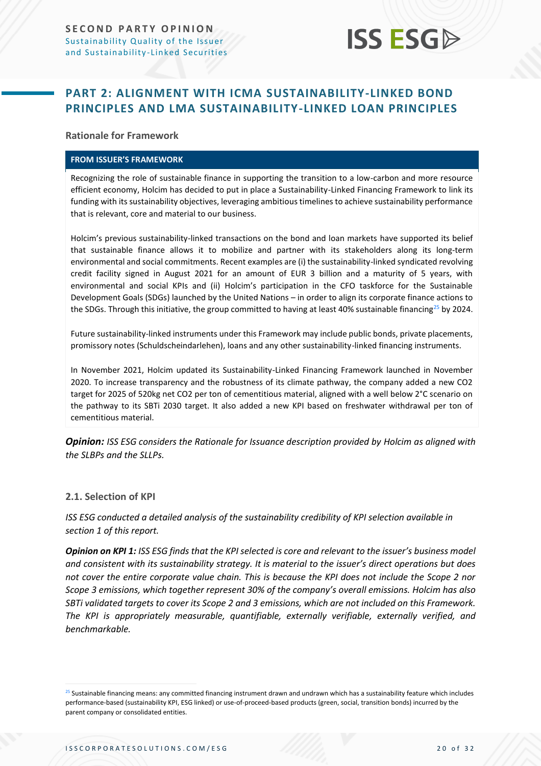

# <span id="page-19-0"></span>**PART 2: ALIGNMENT WITH ICMA SUSTAINABILITY-LINKED BOND PRINCIPLES AND LMA SUSTAINABILITY-LINKED LOAN PRINCIPLES**

**Rationale for Framework**

#### **FROM ISSUER'S FRAMEWORK**

Recognizing the role of sustainable finance in supporting the transition to a low-carbon and more resource efficient economy, Holcim has decided to put in place a Sustainability-Linked Financing Framework to link its funding with its sustainability objectives, leveraging ambitious timelines to achieve sustainability performance that is relevant, core and material to our business.

Holcim's previous sustainability-linked transactions on the bond and loan markets have supported its belief that sustainable finance allows it to mobilize and partner with its stakeholders along its long-term environmental and social commitments. Recent examples are (i) the sustainability-linked syndicated revolving credit facility signed in August 2021 for an amount of EUR 3 billion and a maturity of 5 years, with environmental and social KPIs and (ii) Holcim's participation in the CFO taskforce for the Sustainable Development Goals (SDGs) launched by the United Nations – in order to align its corporate finance actions to the SDGs. Through this initiative, the group committed to having at least 40% sustainable financing<sup>25</sup> by 2024.

Future sustainability-linked instruments under this Framework may include public bonds, private placements, promissory notes (Schuldscheindarlehen), loans and any other sustainability-linked financing instruments.

In November 2021, Holcim updated its Sustainability-Linked Financing Framework launched in November 2020. To increase transparency and the robustness of its climate pathway, the company added a new CO2 target for 2025 of 520kg net CO2 per ton of cementitious material, aligned with a well below 2°C scenario on the pathway to its SBTi 2030 target. It also added a new KPI based on freshwater withdrawal per ton of cementitious material.

*Opinion: ISS ESG considers the Rationale for Issuance description provided by Holcim as aligned with the SLBPs and the SLLPs.*

#### **2.1. Selection of KPI**

*ISS ESG conducted a detailed analysis of the sustainability credibility of KPI selection available in section 1 of this report.*

*Opinion on KPI 1: ISS ESG finds that the KPI selected is core and relevant to the issuer's business model and consistent with its sustainability strategy. It is material to the issuer's direct operations but does not cover the entire corporate value chain. This is because the KPI does not include the Scope 2 nor Scope 3 emissions, which together represent 30% of the company's overall emissions. Holcim has also SBTi validated targets to cover its Scope 2 and 3 emissions, which are not included on this Framework. The KPI is appropriately measurable, quantifiable, externally verifiable, externally verified, and benchmarkable.*

<sup>&</sup>lt;sup>25</sup> Sustainable financing means: any committed financing instrument drawn and undrawn which has a sustainability feature which includes performance-based (sustainability KPI, ESG linked) or use-of-proceed-based products (green, social, transition bonds) incurred by the parent company or consolidated entities.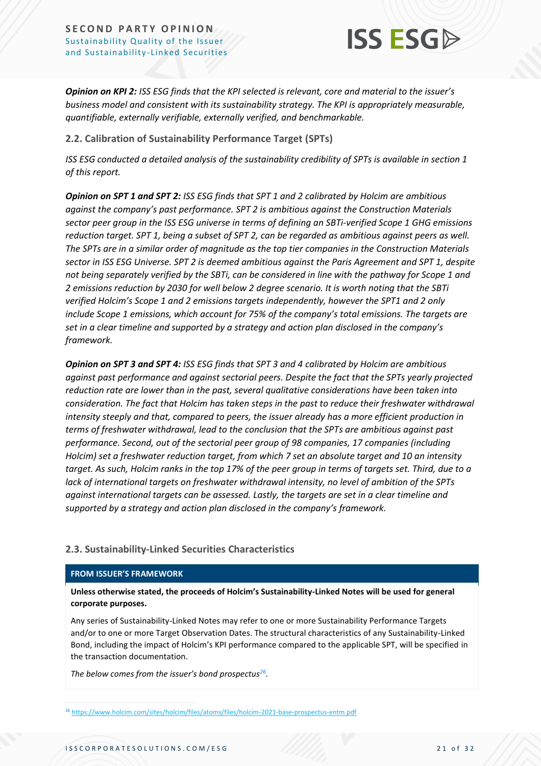

*Opinion on KPI 2: ISS ESG finds that the KPI selected is relevant, core and material to the issuer's business model and consistent with its sustainability strategy. The KPI is appropriately measurable, quantifiable, externally verifiable, externally verified, and benchmarkable.*

**2.2. Calibration of Sustainability Performance Target (SPTs)**

*ISS ESG conducted a detailed analysis of the sustainability credibility of SPTs is available in section 1 of this report.*

*Opinion on SPT 1 and SPT 2: ISS ESG finds that SPT 1 and 2 calibrated by Holcim are ambitious against the company's past performance. SPT 2 is ambitious against the Construction Materials sector peer group in the ISS ESG universe in terms of defining an SBTi-verified Scope 1 GHG emissions reduction target. SPT 1, being a subset of SPT 2, can be regarded as ambitious against peers as well. The SPTs are in a similar order of magnitude as the top tier companies in the Construction Materials sector in ISS ESG Universe. SPT 2 is deemed ambitious against the Paris Agreement and SPT 1, despite not being separately verified by the SBTi, can be considered in line with the pathway for Scope 1 and 2 emissions reduction by 2030 for well below 2 degree scenario. It is worth noting that the SBTi verified Holcim's Scope 1 and 2 emissions targets independently, however the SPT1 and 2 only include Scope 1 emissions, which account for 75% of the company's total emissions. The targets are set in a clear timeline and supported by a strategy and action plan disclosed in the company's framework.*

*Opinion on SPT 3 and SPT 4: ISS ESG finds that SPT 3 and 4 calibrated by Holcim are ambitious against past performance and against sectorial peers. Despite the fact that the SPTs yearly projected reduction rate are lower than in the past, several qualitative considerations have been taken into consideration. The fact that Holcim has taken steps in the past to reduce their freshwater withdrawal intensity steeply and that, compared to peers, the issuer already has a more efficient production in terms of freshwater withdrawal, lead to the conclusion that the SPTs are ambitious against past performance. Second, out of the sectorial peer group of 98 companies, 17 companies (including Holcim) set a freshwater reduction target, from which 7 set an absolute target and 10 an intensity target. As such, Holcim ranks in the top 17% of the peer group in terms of targets set. Third, due to a lack of international targets on freshwater withdrawal intensity, no level of ambition of the SPTs against international targets can be assessed. Lastly, the targets are set in a clear timeline and supported by a strategy and action plan disclosed in the company's framework.*

# **2.3. Sustainability-Linked Securities Characteristics**

#### **FROM ISSUER'S FRAMEWORK**

**Unless otherwise stated, the proceeds of Holcim's Sustainability-Linked Notes will be used for general corporate purposes.** 

Any series of Sustainability-Linked Notes may refer to one or more Sustainability Performance Targets and/or to one or more Target Observation Dates. The structural characteristics of any Sustainability-Linked Bond, including the impact of Holcim's KPI performance compared to the applicable SPT, will be specified in the transaction documentation.

*The below comes from the issuer's bond prospectus<sup>26</sup> .* 

<sup>26</sup> <https://www.holcim.com/sites/holcim/files/atoms/files/holcim-2021-base-prospectus-entm.pdf>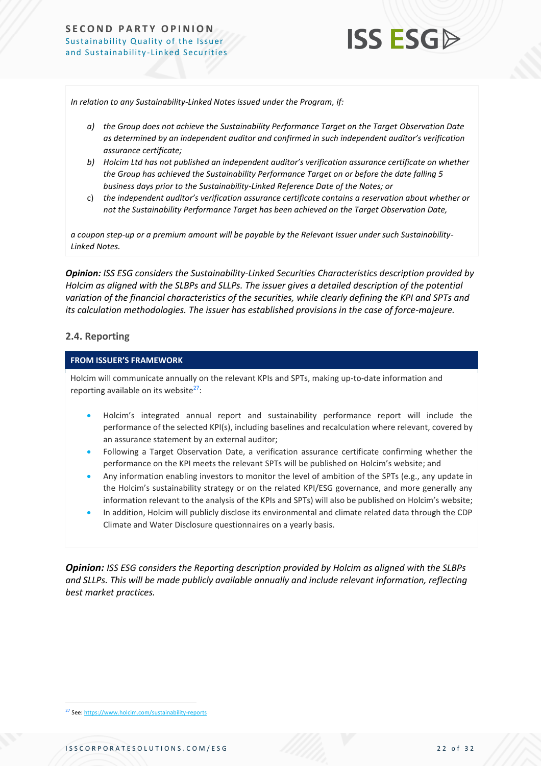

*In relation to any Sustainability-Linked Notes issued under the Program, if:* 

- *a) the Group does not achieve the Sustainability Performance Target on the Target Observation Date as determined by an independent auditor and confirmed in such independent auditor's verification assurance certificate;*
- *b) Holcim Ltd has not published an independent auditor's verification assurance certificate on whether the Group has achieved the Sustainability Performance Target on or before the date falling 5 business days prior to the Sustainability-Linked Reference Date of the Notes; or*
- c) *the independent auditor's verification assurance certificate contains a reservation about whether or not the Sustainability Performance Target has been achieved on the Target Observation Date,*

*a coupon step-up or a premium amount will be payable by the Relevant Issuer under such Sustainability-Linked Notes.*

*Opinion: ISS ESG considers the Sustainability-Linked Securities Characteristics description provided by Holcim as aligned with the SLBPs and SLLPs. The issuer gives a detailed description of the potential variation of the financial characteristics of the securities, while clearly defining the KPI and SPTs and its calculation methodologies. The issuer has established provisions in the case of force-majeure.* 

#### **2.4. Reporting**

#### **FROM ISSUER'S FRAMEWORK**

Holcim will communicate annually on the relevant KPIs and SPTs, making up-to-date information and reporting available on its website $27$ :

- Holcim's integrated annual report and sustainability performance report will include the performance of the selected KPI(s), including baselines and recalculation where relevant, covered by an assurance statement by an external auditor;
- Following a Target Observation Date, a verification assurance certificate confirming whether the performance on the KPI meets the relevant SPTs will be published on Holcim's website; and
- Any information enabling investors to monitor the level of ambition of the SPTs (e.g., any update in the Holcim's sustainability strategy or on the related KPI/ESG governance, and more generally any information relevant to the analysis of the KPIs and SPTs) will also be published on Holcim's website;
- In addition, Holcim will publicly disclose its environmental and climate related data through the CDP Climate and Water Disclosure questionnaires on a yearly basis.

*Opinion: ISS ESG considers the Reporting description provided by Holcim as aligned with the SLBPs and SLLPs. This will be made publicly available annually and include relevant information, reflecting best market practices.*

<sup>27</sup> See[: https://www.holcim.com/sustainability-reports](https://www.holcim.com/sustainability-reports)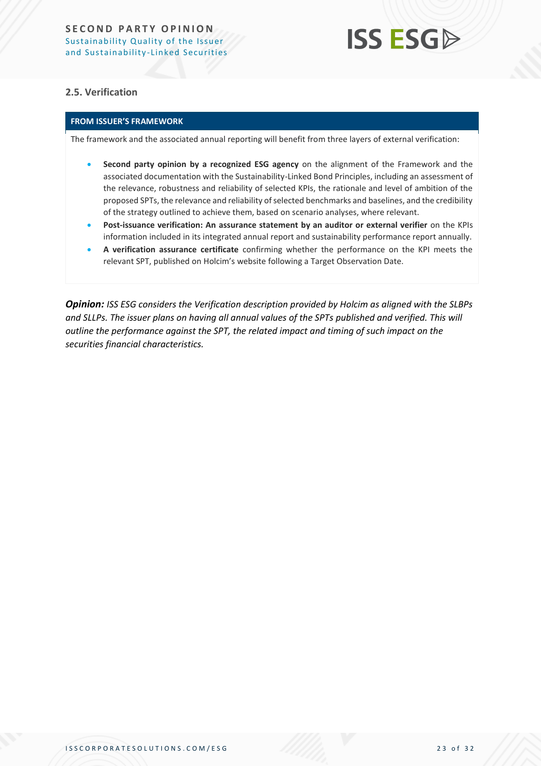# **ISS ESG**

# **2.5. Verification**

# **FROM ISSUER'S FRAMEWORK**

The framework and the associated annual reporting will benefit from three layers of external verification:

- **Second party opinion by a recognized ESG agency** on the alignment of the Framework and the associated documentation with the Sustainability-Linked Bond Principles, including an assessment of the relevance, robustness and reliability of selected KPIs, the rationale and level of ambition of the proposed SPTs, the relevance and reliability of selected benchmarks and baselines, and the credibility of the strategy outlined to achieve them, based on scenario analyses, where relevant.
- **Post-issuance verification: An assurance statement by an auditor or external verifier** on the KPIs information included in its integrated annual report and sustainability performance report annually.
- **A verification assurance certificate** confirming whether the performance on the KPI meets the relevant SPT, published on Holcim's website following a Target Observation Date.

*Opinion: ISS ESG considers the Verification description provided by Holcim as aligned with the SLBPs and SLLPs. The issuer plans on having all annual values of the SPTs published and verified. This will outline the performance against the SPT, the related impact and timing of such impact on the securities financial characteristics.*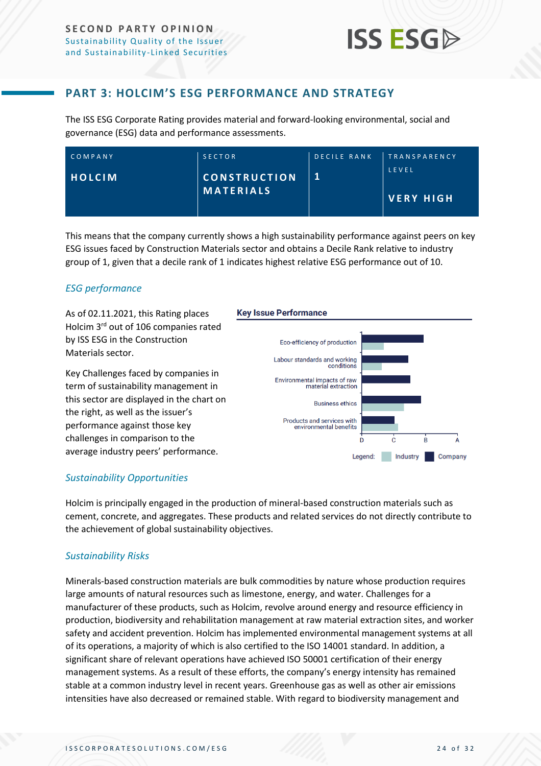

# **PART 3: HOLCIM'S ESG PERFORMANCE AND STRATEGY**

<span id="page-23-0"></span>The ISS ESG Corporate Rating provides material and forward-looking environmental, social and governance (ESG) data and performance assessments.

| COMPANY       | <b>SECTOR</b>                           | DECILE RANK | <b>TRANSPARENCY</b>       |
|---------------|-----------------------------------------|-------------|---------------------------|
| <b>HOLCIM</b> | <b>CONSTRUCTION</b><br><b>MATERIALS</b> |             | LEVEL<br><b>VERY HIGH</b> |

This means that the company currently shows a high sustainability performance against peers on key ESG issues faced by Construction Materials sector and obtains a Decile Rank relative to industry group of 1, given that a decile rank of 1 indicates highest relative ESG performance out of 10.

# *ESG performance*

As of 02.11.2021, this Rating places Holcim 3<sup>rd</sup> out of 106 companies rated by ISS ESG in the Construction Materials sector.

Key Challenges faced by companies in term of sustainability management in this sector are displayed in the chart on the right, as well as the issuer's performance against those key challenges in comparison to the average industry peers' performance.

#### **Key Issue Performance**



# *Sustainability Opportunities*

Holcim is principally engaged in the production of mineral-based construction materials such as cement, concrete, and aggregates. These products and related services do not directly contribute to the achievement of global sustainability objectives.

# *Sustainability Risks*

Minerals-based construction materials are bulk commodities by nature whose production requires large amounts of natural resources such as limestone, energy, and water. Challenges for a manufacturer of these products, such as Holcim, revolve around energy and resource efficiency in production, biodiversity and rehabilitation management at raw material extraction sites, and worker safety and accident prevention. Holcim has implemented environmental management systems at all of its operations, a majority of which is also certified to the ISO 14001 standard. In addition, a significant share of relevant operations have achieved ISO 50001 certification of their energy management systems. As a result of these efforts, the company's energy intensity has remained stable at a common industry level in recent years. Greenhouse gas as well as other air emissions intensities have also decreased or remained stable. With regard to biodiversity management and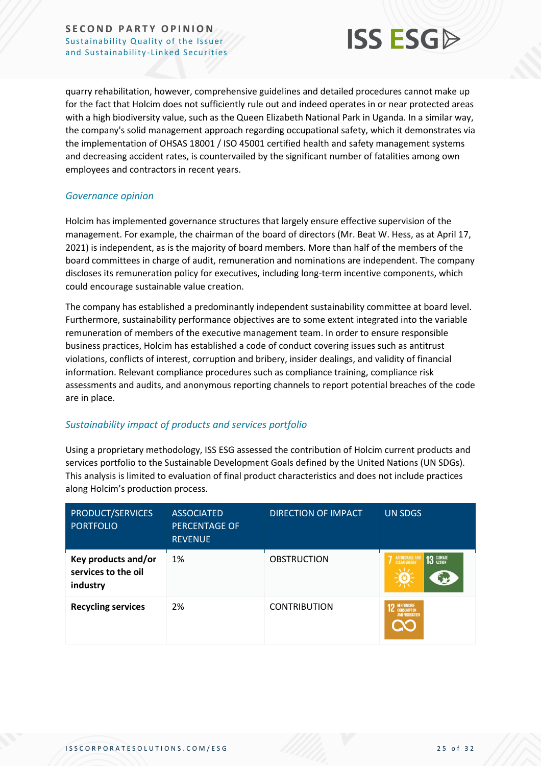

quarry rehabilitation, however, comprehensive guidelines and detailed procedures cannot make up for the fact that Holcim does not sufficiently rule out and indeed operates in or near protected areas with a high biodiversity value, such as the Queen Elizabeth National Park in Uganda. In a similar way, the company's solid management approach regarding occupational safety, which it demonstrates via the implementation of OHSAS 18001 / ISO 45001 certified health and safety management systems and decreasing accident rates, is countervailed by the significant number of fatalities among own employees and contractors in recent years.

### *Governance opinion*

Holcim has implemented governance structures that largely ensure effective supervision of the management. For example, the chairman of the board of directors (Mr. Beat W. Hess, as at April 17, 2021) is independent, as is the majority of board members. More than half of the members of the board committees in charge of audit, remuneration and nominations are independent. The company discloses its remuneration policy for executives, including long-term incentive components, which could encourage sustainable value creation.

The company has established a predominantly independent sustainability committee at board level. Furthermore, sustainability performance objectives are to some extent integrated into the variable remuneration of members of the executive management team. In order to ensure responsible business practices, Holcim has established a code of conduct covering issues such as antitrust violations, conflicts of interest, corruption and bribery, insider dealings, and validity of financial information. Relevant compliance procedures such as compliance training, compliance risk assessments and audits, and anonymous reporting channels to report potential breaches of the code are in place.

# *Sustainability impact of products and services portfolio*

Using a proprietary methodology, ISS ESG assessed the contribution of Holcim current products and services portfolio to the Sustainable Development Goals defined by the United Nations (UN SDGs). This analysis is limited to evaluation of final product characteristics and does not include practices along Holcim's production process.

| PRODUCT/SERVICES<br><b>PORTFOLIO</b>                   | <b>ASSOCIATED</b><br><b>PERCENTAGE OF</b><br><b>REVENUE</b> | <b>DIRECTION OF IMPACT</b> | <b>UN SDGS</b>                                 |
|--------------------------------------------------------|-------------------------------------------------------------|----------------------------|------------------------------------------------|
| Key products and/or<br>services to the oil<br>industry | 1%                                                          | <b>OBSTRUCTION</b>         | <b>13 GLIMATE</b><br>AFFORDABLE AND            |
| <b>Recycling services</b>                              | 2%                                                          | <b>CONTRIBUTION</b>        | <b>12</b> RESPONSIBLE<br><b>AND PRODUCTION</b> |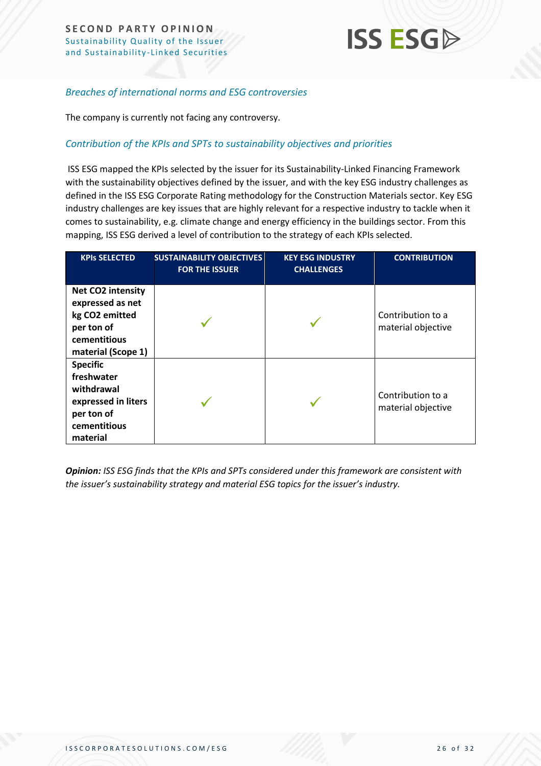

## *Breaches of international norms and ESG controversies*

The company is currently not facing any controversy.

### *Contribution of the KPIs and SPTs to sustainability objectives and priorities*

ISS ESG mapped the KPIs selected by the issuer for its Sustainability-Linked Financing Framework with the sustainability objectives defined by the issuer, and with the key ESG industry challenges as defined in the ISS ESG Corporate Rating methodology for the Construction Materials sector. Key ESG industry challenges are key issues that are highly relevant for a respective industry to tackle when it comes to sustainability, e.g. climate change and energy efficiency in the buildings sector. From this mapping, ISS ESG derived a level of contribution to the strategy of each KPIs selected.

| <b>KPIs SELECTED</b>                                                                                         | <b>SUSTAINABILITY OBJECTIVES</b><br><b>FOR THE ISSUER</b> | <b>KEY ESG INDUSTRY</b><br><b>CHALLENGES</b> | <b>CONTRIBUTION</b>                     |
|--------------------------------------------------------------------------------------------------------------|-----------------------------------------------------------|----------------------------------------------|-----------------------------------------|
| Net CO2 intensity<br>expressed as net<br>kg CO2 emitted<br>per ton of<br>cementitious<br>material (Scope 1)  |                                                           |                                              | Contribution to a<br>material objective |
| <b>Specific</b><br>freshwater<br>withdrawal<br>expressed in liters<br>per ton of<br>cementitious<br>material |                                                           |                                              | Contribution to a<br>material objective |

*Opinion: ISS ESG finds that the KPIs and SPTs considered under this framework are consistent with the issuer's sustainability strategy and material ESG topics for the issuer's industry.*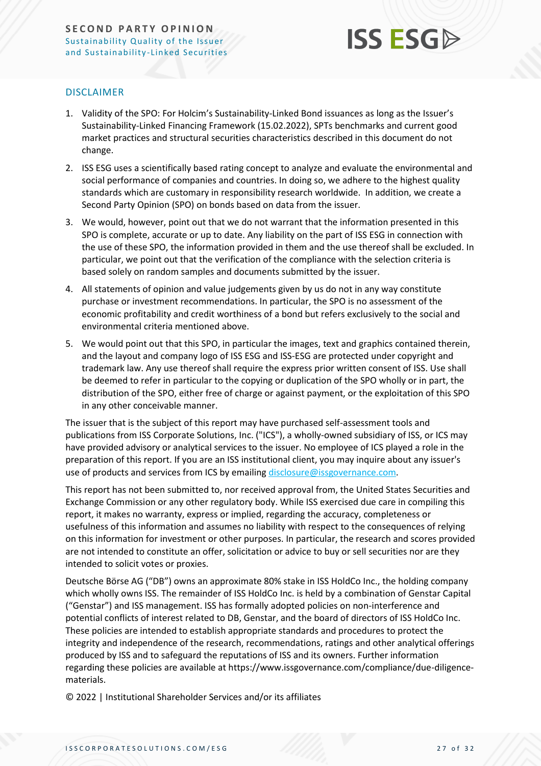

## DISCLAIMER

- 1. Validity of the SPO: For Holcim's Sustainability-Linked Bond issuances as long as the Issuer's Sustainability-Linked Financing Framework (15.02.2022), SPTs benchmarks and current good market practices and structural securities characteristics described in this document do not change.
- 2. ISS ESG uses a scientifically based rating concept to analyze and evaluate the environmental and social performance of companies and countries. In doing so, we adhere to the highest quality standards which are customary in responsibility research worldwide. In addition, we create a Second Party Opinion (SPO) on bonds based on data from the issuer.
- 3. We would, however, point out that we do not warrant that the information presented in this SPO is complete, accurate or up to date. Any liability on the part of ISS ESG in connection with the use of these SPO, the information provided in them and the use thereof shall be excluded. In particular, we point out that the verification of the compliance with the selection criteria is based solely on random samples and documents submitted by the issuer.
- 4. All statements of opinion and value judgements given by us do not in any way constitute purchase or investment recommendations. In particular, the SPO is no assessment of the economic profitability and credit worthiness of a bond but refers exclusively to the social and environmental criteria mentioned above.
- 5. We would point out that this SPO, in particular the images, text and graphics contained therein, and the layout and company logo of ISS ESG and ISS-ESG are protected under copyright and trademark law. Any use thereof shall require the express prior written consent of ISS. Use shall be deemed to refer in particular to the copying or duplication of the SPO wholly or in part, the distribution of the SPO, either free of charge or against payment, or the exploitation of this SPO in any other conceivable manner.

The issuer that is the subject of this report may have purchased self-assessment tools and publications from ISS Corporate Solutions, Inc. ("ICS"), a wholly-owned subsidiary of ISS, or ICS may have provided advisory or analytical services to the issuer. No employee of ICS played a role in the preparation of this report. If you are an ISS institutional client, you may inquire about any issuer's use of products and services from ICS by emailing [disclosure@issgovernance.com.](mailto:disclosure@issgovernance.com)

This report has not been submitted to, nor received approval from, the United States Securities and Exchange Commission or any other regulatory body. While ISS exercised due care in compiling this report, it makes no warranty, express or implied, regarding the accuracy, completeness or usefulness of this information and assumes no liability with respect to the consequences of relying on this information for investment or other purposes. In particular, the research and scores provided are not intended to constitute an offer, solicitation or advice to buy or sell securities nor are they intended to solicit votes or proxies.

Deutsche Börse AG ("DB") owns an approximate 80% stake in ISS HoldCo Inc., the holding company which wholly owns ISS. The remainder of ISS HoldCo Inc. is held by a combination of Genstar Capital ("Genstar") and ISS management. ISS has formally adopted policies on non-interference and potential conflicts of interest related to DB, Genstar, and the board of directors of ISS HoldCo Inc. These policies are intended to establish appropriate standards and procedures to protect the integrity and independence of the research, recommendations, ratings and other analytical offerings produced by ISS and to safeguard the reputations of ISS and its owners. Further information regarding these policies are available at https://www.issgovernance.com/compliance/due-diligencematerials.

© 2022 | Institutional Shareholder Services and/or its affiliates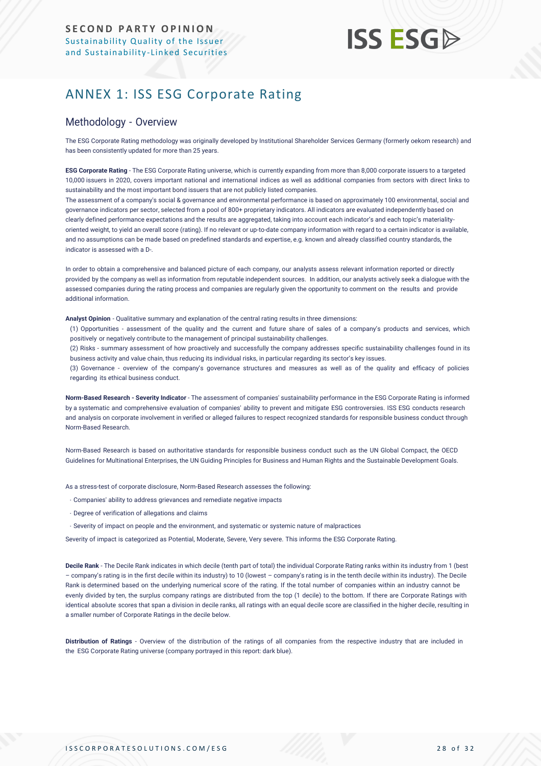# **ISS ESG**

# <span id="page-27-0"></span>ANNEX 1: ISS ESG Corporate Rating

# Methodology - Overview

The ESG Corporate Rating methodology was originally developed by Institutional Shareholder Services Germany (formerly oekom research) and has been consistently updated for more than 25 years.

**ESG Corporate Rating** - The ESG Corporate Rating universe, which is currently expanding from more than 8,000 corporate issuers to a targeted 10,000 issuers in 2020, covers important national and international indices as well as additional companies from sectors with direct links to sustainability and the most important bond issuers that are not publicly listed companies.

The assessment of a company's social & governance and environmental performance is based on approximately 100 environmental, social and governance indicators per sector, selected from a pool of 800+ proprietary indicators. All indicators are evaluated independently based on clearly defined performance expectations and the results are aggregated, taking into account each indicator's and each topic's materialityoriented weight, to yield an overall score (rating). If no relevant or up-to-date company information with regard to a certain indicator is available, and no assumptions can be made based on predefined standards and expertise, e.g. known and already classified country standards, the indicator is assessed with a D-.

In order to obtain a comprehensive and balanced picture of each company, our analysts assess relevant information reported or directly provided by the company as well as information from reputable independent sources. In addition, our analysts actively seek a dialogue with the assessed companies during the rating process and companies are regularly given the opportunity to comment on the results and provide additional information.

**Analyst Opinion** - Qualitative summary and explanation of the central rating results in three dimensions:

(1) Opportunities - assessment of the quality and the current and future share of sales of a company's products and services, which positively or negatively contribute to the management of principal sustainability challenges.

(2) Risks - summary assessment of how proactively and successfully the company addresses specific sustainability challenges found in its business activity and value chain, thus reducing its individual risks, in particular regarding its sector's key issues.

(3) Governance - overview of the company's governance structures and measures as well as of the quality and efficacy of policies regarding its ethical business conduct.

**Norm-Based Research - Severity Indicator** - The assessment of companies' sustainability performance in the ESG Corporate Rating is informed by a systematic and comprehensive evaluation of companies' ability to prevent and mitigate ESG controversies. ISS ESG conducts research and analysis [on corporate involvement in verified or alleged failures to respect recognized standards for responsible business conduct thro](https://www.issgovernance.com/esg/screening/esg-screening-solutions/#nbr_techdoc_download)ugh [Norm-Based](https://www.issgovernance.com/esg/screening/esg-screening-solutions/#nbr_techdoc_download) Research.

Norm-Based Research is based on authoritative standards for responsible business conduct such as the UN Global Compact, the OECD Guidelines for Multinational Enterprises, the UN Guiding Principles for Business and Human Rights and the Sustainable Development Goals.

As a stress-test of corporate disclosure, Norm-Based Research assesses the following:

- Companies' ability to address grievances and remediate negative impacts
- Degree of verification of allegations and claims
- Severity of impact on people and the environment, and systematic or systemic nature of malpractices

Severity of impact is categorized as Potential, Moderate, Severe, Very severe. This informs the ESG Corporate Rating.

**Decile Rank** - The Decile Rank indicates in which decile (tenth part of total) the individual Corporate Rating ranks within its industry from 1 (best – company's rating is in the first decile within its industry) to 10 (lowest – company's rating is in the tenth decile within its industry). The Decile Rank is determined based on the underlying numerical score of the rating. If the total number of companies within an industry cannot be evenly divided by ten, the surplus company ratings are distributed from the top (1 decile) to the bottom. If there are Corporate Ratings with identical absolute scores that span a division in decile ranks, all ratings with an equal decile score are classified in the higher decile, resulting in a smaller number of Corporate Ratings in the decile below.

**Distribution of Ratings** - Overview of the distribution of the ratings of all companies from the respective industry that are included in the ESG Corporate Rating universe (company portrayed in this report: dark blue).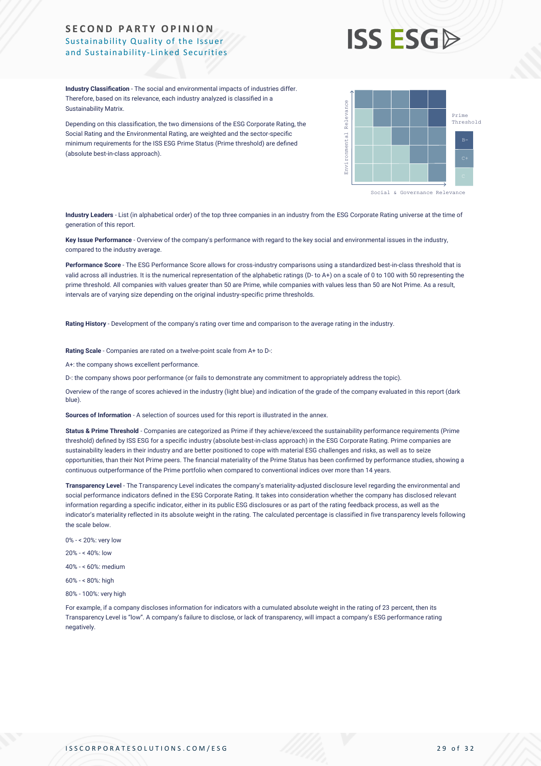

**Industry Classification** - The social and environmental impacts of industries differ. Therefore, based on its relevance, each industry analyzed is classified in a Sustainability Matrix.

Depending on this classification, the two dimensions of the ESG Corporate Rating, the Social Rating and the Environmental Rating, are weighted and the sector-specific minimum requirements for the ISS ESG Prime Status (Prime threshold) are defined (absolute best-in-class approach).



Social & Governance Relevance

**Industry Leaders** - List (in alphabetical order) of the top three companies in an industry from the ESG Corporate Rating universe at the time of generation of this report.

**Key Issue Performance** - Overview of the company's performance with regard to the key social and environmental issues in the industry, compared to the industry average.

**Performance Score** - The ESG Performance Score allows for cross-industry comparisons using a standardized best-in-class threshold that is valid across all industries. It is the numerical representation of the alphabetic ratings (D- to A+) on a scale of 0 to 100 with 50 representing the prime threshold. All companies with values greater than 50 are Prime, while companies with values less than 50 are Not Prime. As a result, intervals are of varying size depending on the original industry-specific prime thresholds.

**Rating History** - Development of the company's rating over time and comparison to the average rating in the industry.

**Rating Scale** - Companies are rated on a twelve-point scale from A+ to D-:

A+: the company shows excellent performance.

D-: the company shows poor performance (or fails to demonstrate any commitment to appropriately address the topic).

Overview of the range of scores achieved in the industry (light blue) and indication of the grade of the company evaluated in this report (dark blue).

**Sources of Information** - A selection of sources used for this report is illustrated in the annex.

**Status & Prime Threshold** - Companies are categorized as Prime if they achieve/exceed the sustainability performance requirements (Prime threshold) defined by ISS ESG for a specific industry (absolute best-in-class approach) in the ESG Corporate Rating. Prime companies are sustainability leaders in their industry and are better positioned to cope with material ESG challenges and risks, as well as to seize opportunities, than their Not Prime peers. The financial materiality of the Prime Status has been confirmed by performance studies, showing a continuous outperformance of the Prime portfolio when compared to conventional indices over more than 14 years.

**Transparency Level** - The Transparency Level indicates the company's materiality-adjusted disclosure level regarding the environmental and social performance indicators defined in the ESG Corporate Rating. It takes into consideration whether the company has disclosed relevant information regarding a specific indicator, either in its public ESG disclosures or as part of the rating feedback process, as well as the indicator's materiality reflected in its absolute weight in the rating. The calculated percentage is classified in five transparency levels following the scale below.

- 0% < 20%: very low
- 20% < 40%: low
- 40% < 60%: medium
- 60% < 80%: high
- 80% 100%: very high

For example, if a company discloses information for indicators with a cumulated absolute weight in the rating of 23 percent, then its Transparency Level is "low". A company's failure to disclose, or lack of transparency, will impact a company's ESG performance rating negatively.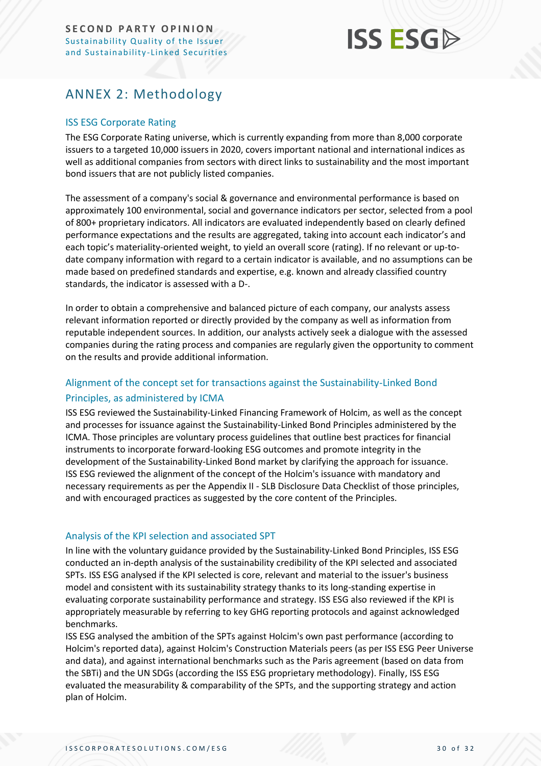# **ISS ESG**

# <span id="page-29-0"></span>ANNEX 2: Methodology

# ISS ESG Corporate Rating

The ESG Corporate Rating universe, which is currently expanding from more than 8,000 corporate issuers to a targeted 10,000 issuers in 2020, covers important national and international indices as well as additional companies from sectors with direct links to sustainability and the most important bond issuers that are not publicly listed companies.

The assessment of a company's social & governance and environmental performance is based on approximately 100 environmental, social and governance indicators per sector, selected from a pool of 800+ proprietary indicators. All indicators are evaluated independently based on clearly defined performance expectations and the results are aggregated, taking into account each indicator's and each topic's materiality-oriented weight, to yield an overall score (rating). If no relevant or up-todate company information with regard to a certain indicator is available, and no assumptions can be made based on predefined standards and expertise, e.g. known and already classified country standards, the indicator is assessed with a D-.

In order to obtain a comprehensive and balanced picture of each company, our analysts assess relevant information reported or directly provided by the company as well as information from reputable independent sources. In addition, our analysts actively seek a dialogue with the assessed companies during the rating process and companies are regularly given the opportunity to comment on the results and provide additional information.

# Alignment of the concept set for transactions against the Sustainability-Linked Bond

# Principles, as administered by ICMA

ISS ESG reviewed the Sustainability-Linked Financing Framework of Holcim, as well as the concept and processes for issuance against the Sustainability-Linked Bond Principles administered by the ICMA. Those principles are voluntary process guidelines that outline best practices for financial instruments to incorporate forward-looking ESG outcomes and promote integrity in the development of the Sustainability-Linked Bond market by clarifying the approach for issuance. ISS ESG reviewed the alignment of the concept of the Holcim's issuance with mandatory and necessary requirements as per the Appendix II - SLB Disclosure Data Checklist of those principles, and with encouraged practices as suggested by the core content of the Principles.

# Analysis of the KPI selection and associated SPT

In line with the voluntary guidance provided by the Sustainability-Linked Bond Principles, ISS ESG conducted an in-depth analysis of the sustainability credibility of the KPI selected and associated SPTs. ISS ESG analysed if the KPI selected is core, relevant and material to the issuer's business model and consistent with its sustainability strategy thanks to its long-standing expertise in evaluating corporate sustainability performance and strategy. ISS ESG also reviewed if the KPI is appropriately measurable by referring to key GHG reporting protocols and against acknowledged benchmarks.

ISS ESG analysed the ambition of the SPTs against Holcim's own past performance (according to Holcim's reported data), against Holcim's Construction Materials peers (as per ISS ESG Peer Universe and data), and against international benchmarks such as the Paris agreement (based on data from the SBTi) and the UN SDGs (according the ISS ESG proprietary methodology). Finally, ISS ESG evaluated the measurability & comparability of the SPTs, and the supporting strategy and action plan of Holcim.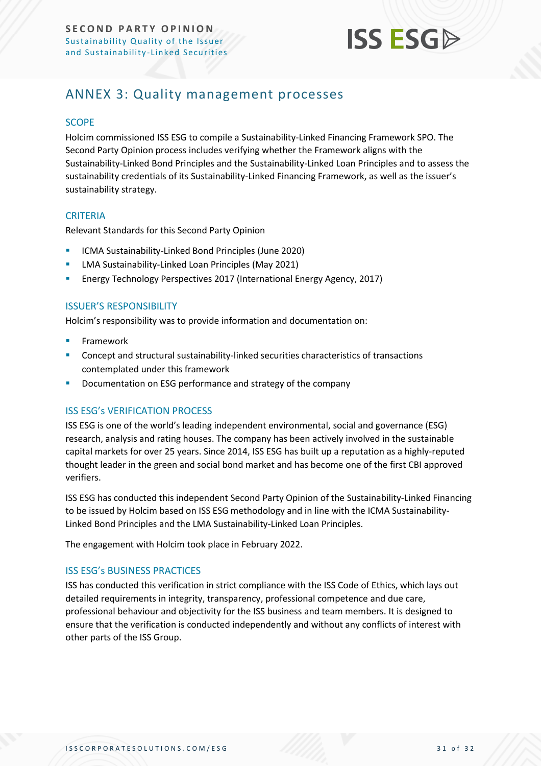

# <span id="page-30-0"></span>ANNEX 3: Quality management processes

#### **SCOPE**

Holcim commissioned ISS ESG to compile a Sustainability-Linked Financing Framework SPO. The Second Party Opinion process includes verifying whether the Framework aligns with the Sustainability-Linked Bond Principles and the Sustainability-Linked Loan Principles and to assess the sustainability credentials of its Sustainability-Linked Financing Framework, as well as the issuer's sustainability strategy.

### **CRITERIA**

Relevant Standards for this Second Party Opinion

- ICMA Sustainability-Linked Bond Principles (June 2020)
- LMA Sustainability-Linked Loan Principles (May 2021)
- Energy Technology Perspectives 2017 (International Energy Agency, 2017)

#### ISSUER'S RESPONSIBILITY

Holcim's responsibility was to provide information and documentation on:

- **Framework**
- Concept and structural sustainability-linked securities characteristics of transactions contemplated under this framework
- Documentation on ESG performance and strategy of the company

# ISS ESG's VERIFICATION PROCESS

ISS ESG is one of the world's leading independent environmental, social and governance (ESG) research, analysis and rating houses. The company has been actively involved in the sustainable capital markets for over 25 years. Since 2014, ISS ESG has built up a reputation as a highly-reputed thought leader in the green and social bond market and has become one of the first CBI approved verifiers.

ISS ESG has conducted this independent Second Party Opinion of the Sustainability-Linked Financing to be issued by Holcim based on ISS ESG methodology and in line with the ICMA Sustainability-Linked Bond Principles and the LMA Sustainability-Linked Loan Principles.

The engagement with Holcim took place in February 2022.

#### ISS ESG's BUSINESS PRACTICES

ISS has conducted this verification in strict compliance with the ISS Code of Ethics, which lays out detailed requirements in integrity, transparency, professional competence and due care, professional behaviour and objectivity for the ISS business and team members. It is designed to ensure that the verification is conducted independently and without any conflicts of interest with other parts of the ISS Group.